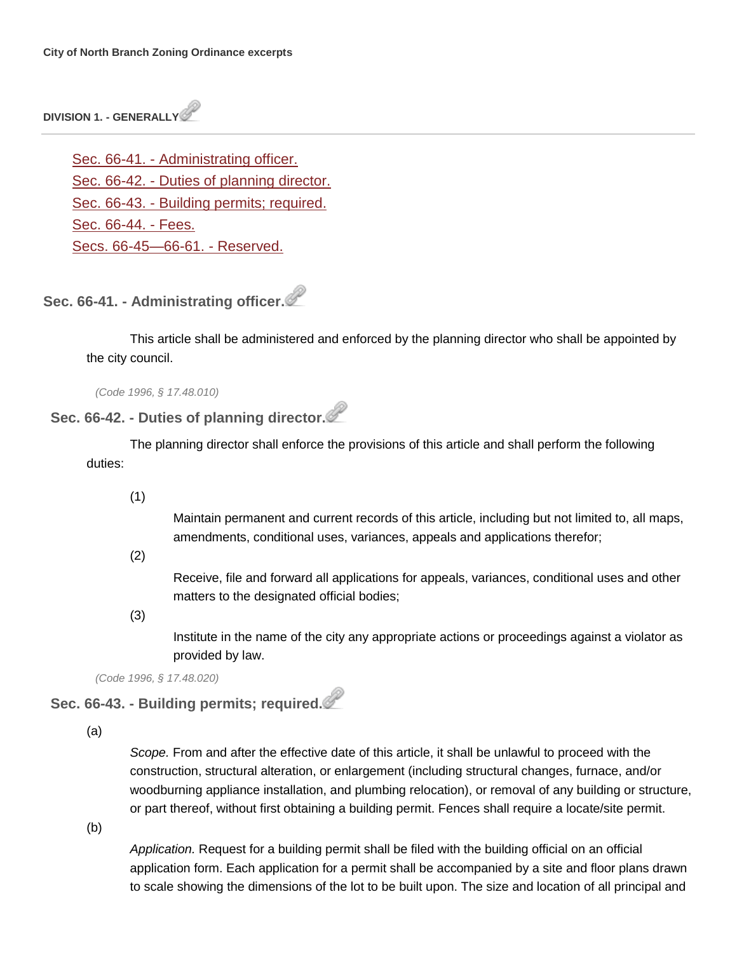**DIVISION 1. - GENERALLY**

Sec. 66-41. - [Administrating officer.](http://library.municode.com/HTML/14040/level4/COOR_CH66ZO_ARTIIADEN_DIV1GE.html#COOR_CH66ZO_ARTIIADEN_DIV1GE_S66-41ADOF) Sec. 66-42. - [Duties of planning director.](http://library.municode.com/HTML/14040/level4/COOR_CH66ZO_ARTIIADEN_DIV1GE.html#COOR_CH66ZO_ARTIIADEN_DIV1GE_S66-42DUPLDI) Sec. 66-43. - [Building permits; required.](http://library.municode.com/HTML/14040/level4/COOR_CH66ZO_ARTIIADEN_DIV1GE.html#COOR_CH66ZO_ARTIIADEN_DIV1GE_S66-43BUPERE) Sec. [66-44. -](http://library.municode.com/HTML/14040/level4/COOR_CH66ZO_ARTIIADEN_DIV1GE.html#COOR_CH66ZO_ARTIIADEN_DIV1GE_S66-44FE) Fees. [Secs. 66-45—66-61. -](http://library.municode.com/HTML/14040/level4/COOR_CH66ZO_ARTIIADEN_DIV1GE.html#COOR_CH66ZO_ARTIIADEN_DIV1GE_SS66-45--66-61RE) Reserved.

**Sec. 66-41. - Administrating officer.**

This article shall be administered and enforced by the planning director who shall be appointed by the city council.

*(Code 1996, § 17.48.010)*

# **Sec. 66-42. - Duties of planning director.**

The planning director shall enforce the provisions of this article and shall perform the following duties:

(1)

Maintain permanent and current records of this article, including but not limited to, all maps, amendments, conditional uses, variances, appeals and applications therefor;

(2)

Receive, file and forward all applications for appeals, variances, conditional uses and other matters to the designated official bodies;

(3)

Institute in the name of the city any appropriate actions or proceedings against a violator as provided by law.

*(Code 1996, § 17.48.020)*

**Sec. 66-43. - Building permits; required.**

(a)

*Scope.* From and after the effective date of this article, it shall be unlawful to proceed with the construction, structural alteration, or enlargement (including structural changes, furnace, and/or woodburning appliance installation, and plumbing relocation), or removal of any building or structure, or part thereof, without first obtaining a building permit. Fences shall require a locate/site permit.

(b)

*Application.* Request for a building permit shall be filed with the building official on an official application form. Each application for a permit shall be accompanied by a site and floor plans drawn to scale showing the dimensions of the lot to be built upon. The size and location of all principal and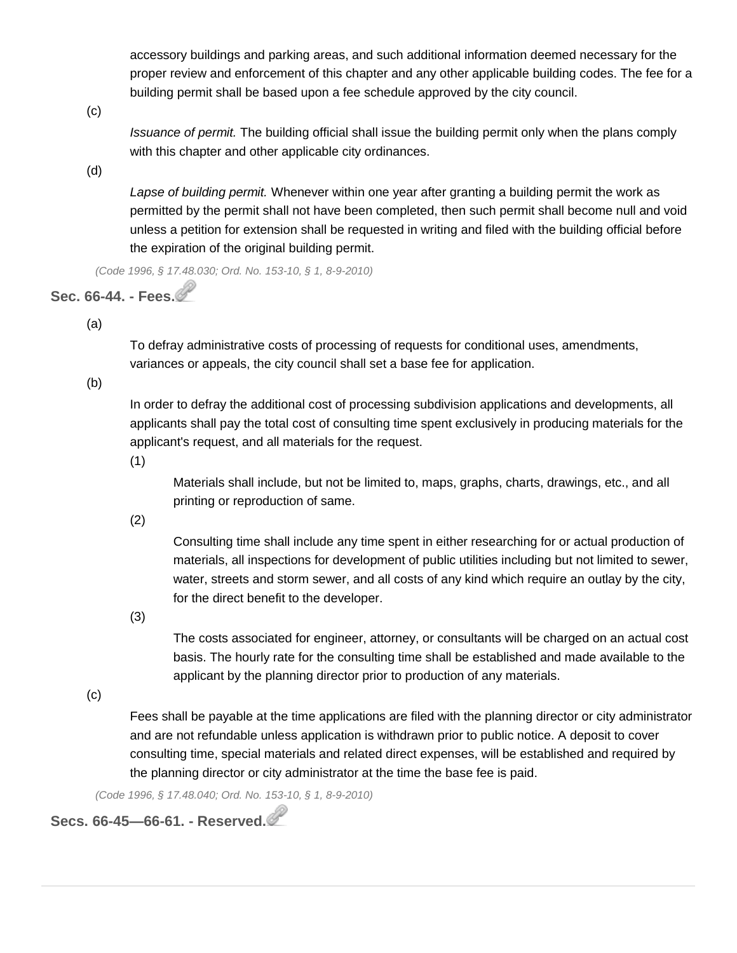accessory buildings and parking areas, and such additional information deemed necessary for the proper review and enforcement of this chapter and any other applicable building codes. The fee for a building permit shall be based upon a fee schedule approved by the city council.

(c)

*Issuance of permit.* The building official shall issue the building permit only when the plans comply with this chapter and other applicable city ordinances.

(d)

*Lapse of building permit.* Whenever within one year after granting a building permit the work as permitted by the permit shall not have been completed, then such permit shall become null and void unless a petition for extension shall be requested in writing and filed with the building official before the expiration of the original building permit.

*(Code 1996, § 17.48.030; Ord. No. 153-10, § 1, 8-9-2010)*

# **Sec. 66-44. - Fees.**

(a)

To defray administrative costs of processing of requests for conditional uses, amendments, variances or appeals, the city council shall set a base fee for application.

(b)

In order to defray the additional cost of processing subdivision applications and developments, all applicants shall pay the total cost of consulting time spent exclusively in producing materials for the applicant's request, and all materials for the request.

(1)

Materials shall include, but not be limited to, maps, graphs, charts, drawings, etc., and all printing or reproduction of same.

(2)

Consulting time shall include any time spent in either researching for or actual production of materials, all inspections for development of public utilities including but not limited to sewer, water, streets and storm sewer, and all costs of any kind which require an outlay by the city, for the direct benefit to the developer.

(3)

The costs associated for engineer, attorney, or consultants will be charged on an actual cost basis. The hourly rate for the consulting time shall be established and made available to the applicant by the planning director prior to production of any materials.

(c)

Fees shall be payable at the time applications are filed with the planning director or city administrator and are not refundable unless application is withdrawn prior to public notice. A deposit to cover consulting time, special materials and related direct expenses, will be established and required by the planning director or city administrator at the time the base fee is paid.

*(Code 1996, § 17.48.040; Ord. No. 153-10, § 1, 8-9-2010)*

**Secs. 66-45—66-61. - Reserved.**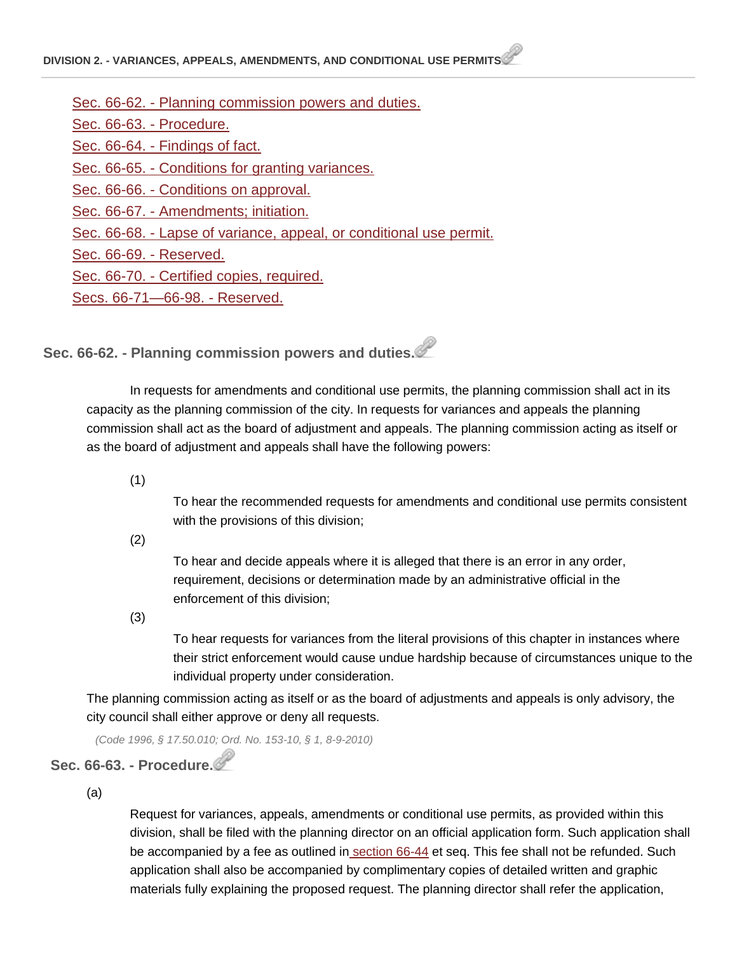- Sec. 66-62. [Planning commission powers and duties.](http://library.municode.com/HTML/14040/level4/COOR_CH66ZO_ARTIIADEN_DIV2VAAPAMCOUSPE.html#COOR_CH66ZO_ARTIIADEN_DIV2VAAPAMCOUSPE_S66-62PLCOPODU)
- [Sec. 66-63. -](http://library.municode.com/HTML/14040/level4/COOR_CH66ZO_ARTIIADEN_DIV2VAAPAMCOUSPE.html#COOR_CH66ZO_ARTIIADEN_DIV2VAAPAMCOUSPE_S66-63PR) Procedure.

Sec. 66-64. - [Findings of fact.](http://library.municode.com/HTML/14040/level4/COOR_CH66ZO_ARTIIADEN_DIV2VAAPAMCOUSPE.html#COOR_CH66ZO_ARTIIADEN_DIV2VAAPAMCOUSPE_S66-64FIFA)

Sec. 66-65. - [Conditions for granting variances.](http://library.municode.com/HTML/14040/level4/COOR_CH66ZO_ARTIIADEN_DIV2VAAPAMCOUSPE.html#COOR_CH66ZO_ARTIIADEN_DIV2VAAPAMCOUSPE_S66-65COGRVA)

Sec. 66-66. - [Conditions on approval.](http://library.municode.com/HTML/14040/level4/COOR_CH66ZO_ARTIIADEN_DIV2VAAPAMCOUSPE.html#COOR_CH66ZO_ARTIIADEN_DIV2VAAPAMCOUSPE_S66-66COAP)

Sec. 66-67. - [Amendments; initiation.](http://library.municode.com/HTML/14040/level4/COOR_CH66ZO_ARTIIADEN_DIV2VAAPAMCOUSPE.html#COOR_CH66ZO_ARTIIADEN_DIV2VAAPAMCOUSPE_S66-67AMIN)

Sec. 66-68. - [Lapse of variance, appeal, or conditional use permit.](http://library.municode.com/HTML/14040/level4/COOR_CH66ZO_ARTIIADEN_DIV2VAAPAMCOUSPE.html#COOR_CH66ZO_ARTIIADEN_DIV2VAAPAMCOUSPE_S66-68LAVAAPCOUSPE)

[Sec. 66-69. -](http://library.municode.com/HTML/14040/level4/COOR_CH66ZO_ARTIIADEN_DIV2VAAPAMCOUSPE.html#COOR_CH66ZO_ARTIIADEN_DIV2VAAPAMCOUSPE_S66-69RE) Reserved.

Sec. 66-70. - [Certified copies, required.](http://library.municode.com/HTML/14040/level4/COOR_CH66ZO_ARTIIADEN_DIV2VAAPAMCOUSPE.html#COOR_CH66ZO_ARTIIADEN_DIV2VAAPAMCOUSPE_S66-70CECORE)

[Secs. 66-71—66-98. -](http://library.municode.com/HTML/14040/level4/COOR_CH66ZO_ARTIIADEN_DIV2VAAPAMCOUSPE.html#COOR_CH66ZO_ARTIIADEN_DIV2VAAPAMCOUSPE_SS66-71--66-98RE) Reserved.

**Sec. 66-62. - Planning commission powers and duties.**

In requests for amendments and conditional use permits, the planning commission shall act in its capacity as the planning commission of the city. In requests for variances and appeals the planning commission shall act as the board of adjustment and appeals. The planning commission acting as itself or as the board of adjustment and appeals shall have the following powers:

(1)

To hear the recommended requests for amendments and conditional use permits consistent with the provisions of this division;

(2)

To hear and decide appeals where it is alleged that there is an error in any order, requirement, decisions or determination made by an administrative official in the enforcement of this division;

(3)

To hear requests for variances from the literal provisions of this chapter in instances where their strict enforcement would cause undue hardship because of circumstances unique to the individual property under consideration.

The planning commission acting as itself or as the board of adjustments and appeals is only advisory, the city council shall either approve or deny all requests.

*(Code 1996, § 17.50.010; Ord. No. 153-10, § 1, 8-9-2010)*

#### **Sec. 66-63. - Procedure.**

(a)

Request for variances, appeals, amendments or conditional use permits, as provided within this division, shall be filed with the planning director on an official application form. Such application shall be accompanied by a fee as outlined in [section](http://library.municode.com/HTML/14040/level4/COOR_CH66ZO_ARTIIADEN_DIV1GE.html#COOR_CH66ZO_ARTIIADEN_DIV1GE_S66-44FE) 66-44 et seq. This fee shall not be refunded. Such application shall also be accompanied by complimentary copies of detailed written and graphic materials fully explaining the proposed request. The planning director shall refer the application,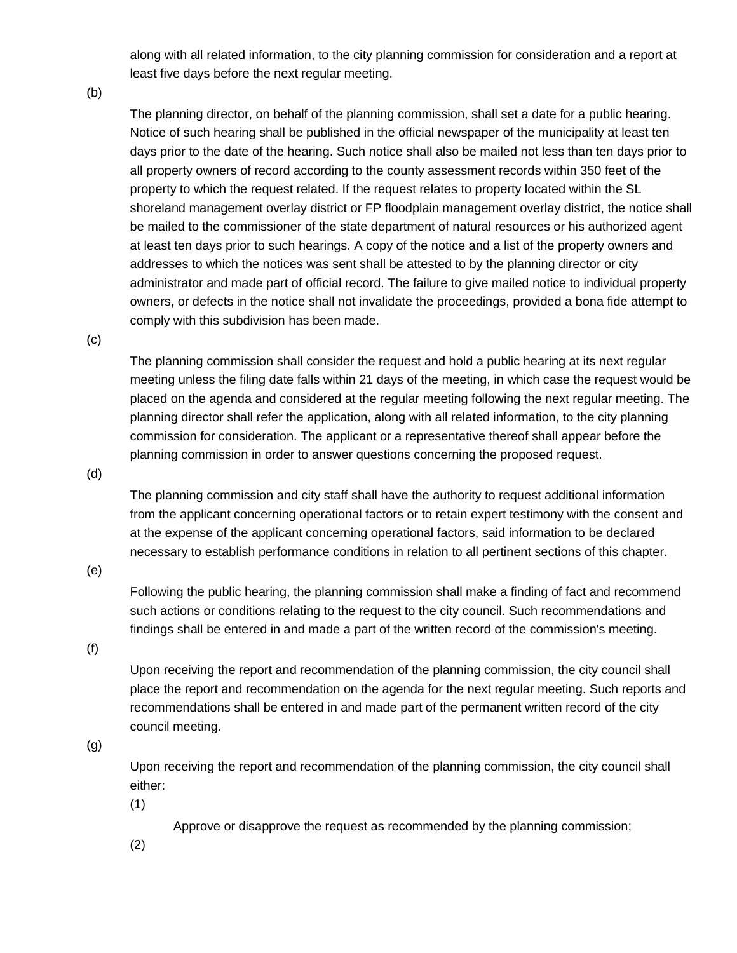along with all related information, to the city planning commission for consideration and a report at least five days before the next regular meeting.

(b)

The planning director, on behalf of the planning commission, shall set a date for a public hearing. Notice of such hearing shall be published in the official newspaper of the municipality at least ten days prior to the date of the hearing. Such notice shall also be mailed not less than ten days prior to all property owners of record according to the county assessment records within 350 feet of the property to which the request related. If the request relates to property located within the SL shoreland management overlay district or FP floodplain management overlay district, the notice shall be mailed to the commissioner of the state department of natural resources or his authorized agent at least ten days prior to such hearings. A copy of the notice and a list of the property owners and addresses to which the notices was sent shall be attested to by the planning director or city administrator and made part of official record. The failure to give mailed notice to individual property owners, or defects in the notice shall not invalidate the proceedings, provided a bona fide attempt to comply with this subdivision has been made.

(c)

The planning commission shall consider the request and hold a public hearing at its next regular meeting unless the filing date falls within 21 days of the meeting, in which case the request would be placed on the agenda and considered at the regular meeting following the next regular meeting. The planning director shall refer the application, along with all related information, to the city planning commission for consideration. The applicant or a representative thereof shall appear before the planning commission in order to answer questions concerning the proposed request.

(d)

The planning commission and city staff shall have the authority to request additional information from the applicant concerning operational factors or to retain expert testimony with the consent and at the expense of the applicant concerning operational factors, said information to be declared necessary to establish performance conditions in relation to all pertinent sections of this chapter.

(e)

Following the public hearing, the planning commission shall make a finding of fact and recommend such actions or conditions relating to the request to the city council. Such recommendations and findings shall be entered in and made a part of the written record of the commission's meeting.

(f)

Upon receiving the report and recommendation of the planning commission, the city council shall place the report and recommendation on the agenda for the next regular meeting. Such reports and recommendations shall be entered in and made part of the permanent written record of the city council meeting.

(g)

Upon receiving the report and recommendation of the planning commission, the city council shall either:

(1)

Approve or disapprove the request as recommended by the planning commission;

(2)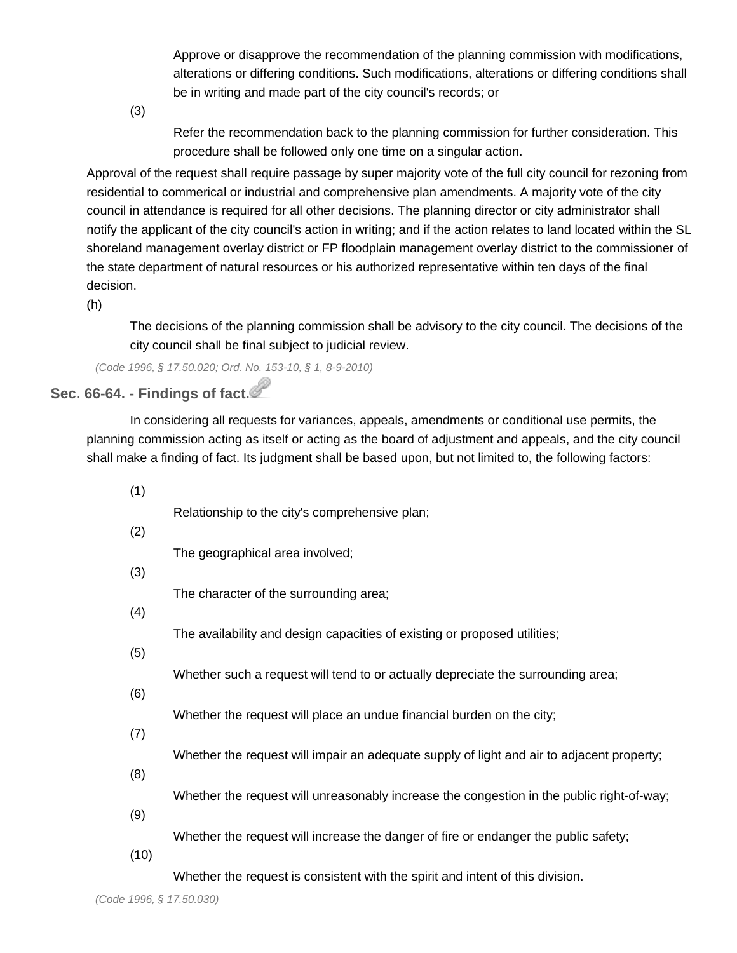Approve or disapprove the recommendation of the planning commission with modifications, alterations or differing conditions. Such modifications, alterations or differing conditions shall be in writing and made part of the city council's records; or

(3)

Refer the recommendation back to the planning commission for further consideration. This procedure shall be followed only one time on a singular action.

Approval of the request shall require passage by super majority vote of the full city council for rezoning from residential to commerical or industrial and comprehensive plan amendments. A majority vote of the city council in attendance is required for all other decisions. The planning director or city administrator shall notify the applicant of the city council's action in writing; and if the action relates to land located within the SL shoreland management overlay district or FP floodplain management overlay district to the commissioner of the state department of natural resources or his authorized representative within ten days of the final decision.

(h)

The decisions of the planning commission shall be advisory to the city council. The decisions of the city council shall be final subject to judicial review.

*(Code 1996, § 17.50.020; Ord. No. 153-10, § 1, 8-9-2010)*

# **Sec. 66-64. - Findings of fact.**

In considering all requests for variances, appeals, amendments or conditional use permits, the planning commission acting as itself or acting as the board of adjustment and appeals, and the city council shall make a finding of fact. Its judgment shall be based upon, but not limited to, the following factors:

(1) Relationship to the city's comprehensive plan; (2) The geographical area involved; (3) The character of the surrounding area; (4) The availability and design capacities of existing or proposed utilities; (5) Whether such a request will tend to or actually depreciate the surrounding area; (6) Whether the request will place an undue financial burden on the city; (7) Whether the request will impair an adequate supply of light and air to adjacent property; (8) Whether the request will unreasonably increase the congestion in the public right-of-way; (9) Whether the request will increase the danger of fire or endanger the public safety; (10) Whether the request is consistent with the spirit and intent of this division.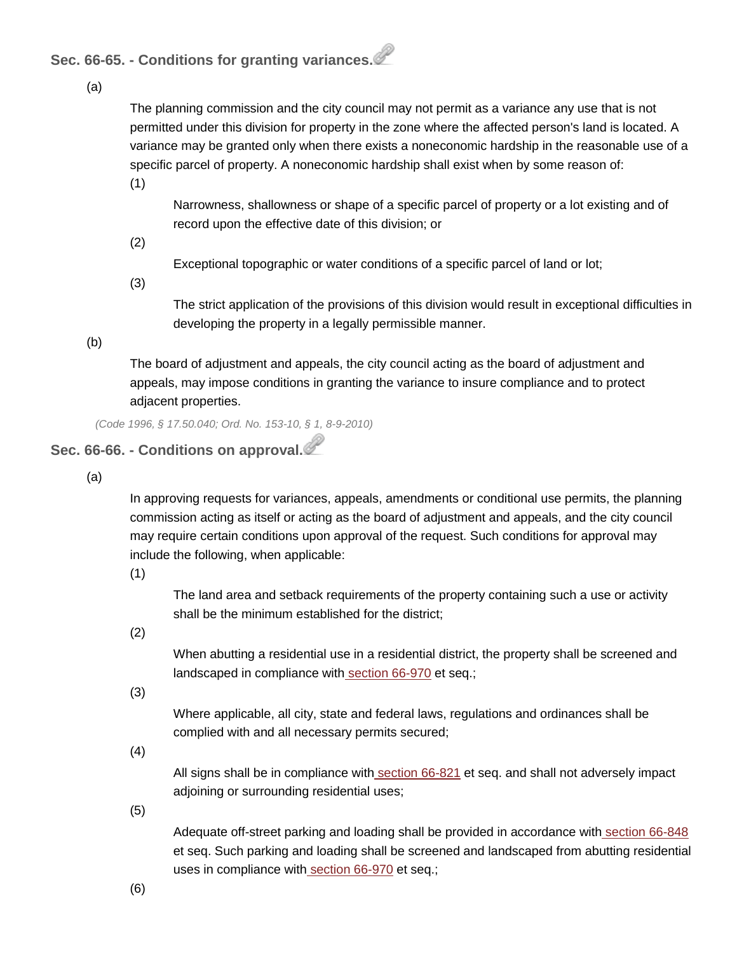**Sec. 66-65. - Conditions for granting variances.**

(a)

The planning commission and the city council may not permit as a variance any use that is not permitted under this division for property in the zone where the affected person's land is located. A variance may be granted only when there exists a noneconomic hardship in the reasonable use of a specific parcel of property. A noneconomic hardship shall exist when by some reason of:

(1)

Narrowness, shallowness or shape of a specific parcel of property or a lot existing and of record upon the effective date of this division; or

(2)

Exceptional topographic or water conditions of a specific parcel of land or lot;

(3)

The strict application of the provisions of this division would result in exceptional difficulties in developing the property in a legally permissible manner.

(b)

The board of adjustment and appeals, the city council acting as the board of adjustment and appeals, may impose conditions in granting the variance to insure compliance and to protect adjacent properties.

*(Code 1996, § 17.50.040; Ord. No. 153-10, § 1, 8-9-2010)*

# **Sec. 66-66. - Conditions on approval.**

(a)

In approving requests for variances, appeals, amendments or conditional use permits, the planning commission acting as itself or acting as the board of adjustment and appeals, and the city council may require certain conditions upon approval of the request. Such conditions for approval may include the following, when applicable:

(1)

The land area and setback requirements of the property containing such a use or activity shall be the minimum established for the district;

(2)

When abutting a residential use in a residential district, the property shall be screened and landscaped in compliance with [section](http://library.municode.com/HTML/14040/level3/COOR_CH66ZO_ARTXFESCLA.html#COOR_CH66ZO_ARTXFESCLA_S66-970PU) 66-970 et seq.;

(3)

Where applicable, all city, state and federal laws, regulations and ordinances shall be complied with and all necessary permits secured;

(4)

All signs shall be in compliance with [section](http://library.municode.com/HTML/14040/level3/COOR_CH66ZO_ARTVISI.html#COOR_CH66ZO_ARTVISI_S66-821PU) 66-821 et seq. and shall not adversely impact adjoining or surrounding residential uses;

(5)

Adequate off-street parking and loading shall be provided in accordance with [section](http://library.municode.com/HTML/14040/level3/COOR_CH66ZO_ARTVIIOREPALO.html#COOR_CH66ZO_ARTVIIOREPALO_S66-848PU) 66-848 et seq. Such parking and loading shall be screened and landscaped from abutting residential uses in compliance with [section](http://library.municode.com/HTML/14040/level3/COOR_CH66ZO_ARTXFESCLA.html#COOR_CH66ZO_ARTXFESCLA_S66-970PU) 66-970 et seq.;

(6)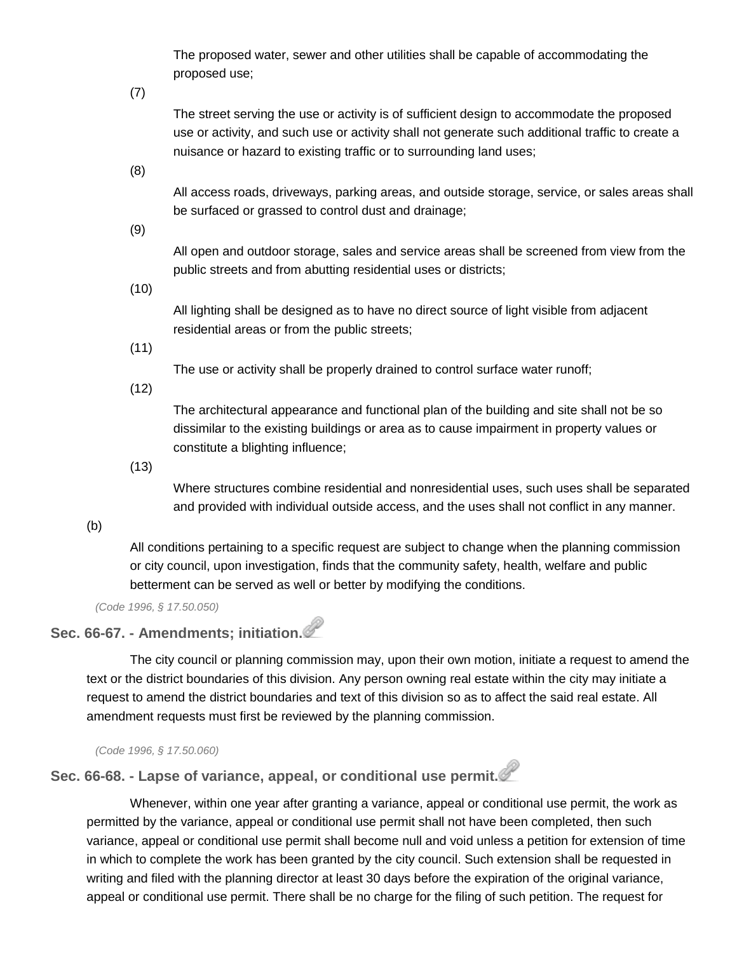The proposed water, sewer and other utilities shall be capable of accommodating the proposed use;

(7)

The street serving the use or activity is of sufficient design to accommodate the proposed use or activity, and such use or activity shall not generate such additional traffic to create a nuisance or hazard to existing traffic or to surrounding land uses;

(8)

All access roads, driveways, parking areas, and outside storage, service, or sales areas shall be surfaced or grassed to control dust and drainage;

(9)

All open and outdoor storage, sales and service areas shall be screened from view from the public streets and from abutting residential uses or districts;

(10)

All lighting shall be designed as to have no direct source of light visible from adjacent residential areas or from the public streets;

(11)

The use or activity shall be properly drained to control surface water runoff;

(12)

The architectural appearance and functional plan of the building and site shall not be so dissimilar to the existing buildings or area as to cause impairment in property values or constitute a blighting influence;

(13)

Where structures combine residential and nonresidential uses, such uses shall be separated and provided with individual outside access, and the uses shall not conflict in any manner.

(b)

All conditions pertaining to a specific request are subject to change when the planning commission or city council, upon investigation, finds that the community safety, health, welfare and public betterment can be served as well or better by modifying the conditions.

*(Code 1996, § 17.50.050)*

# **Sec. 66-67. - Amendments; initiation.**

The city council or planning commission may, upon their own motion, initiate a request to amend the text or the district boundaries of this division. Any person owning real estate within the city may initiate a request to amend the district boundaries and text of this division so as to affect the said real estate. All amendment requests must first be reviewed by the planning commission.

*(Code 1996, § 17.50.060)*

**Sec. 66-68. - Lapse of variance, appeal, or conditional use permit.**

Whenever, within one year after granting a variance, appeal or conditional use permit, the work as permitted by the variance, appeal or conditional use permit shall not have been completed, then such variance, appeal or conditional use permit shall become null and void unless a petition for extension of time in which to complete the work has been granted by the city council. Such extension shall be requested in writing and filed with the planning director at least 30 days before the expiration of the original variance, appeal or conditional use permit. There shall be no charge for the filing of such petition. The request for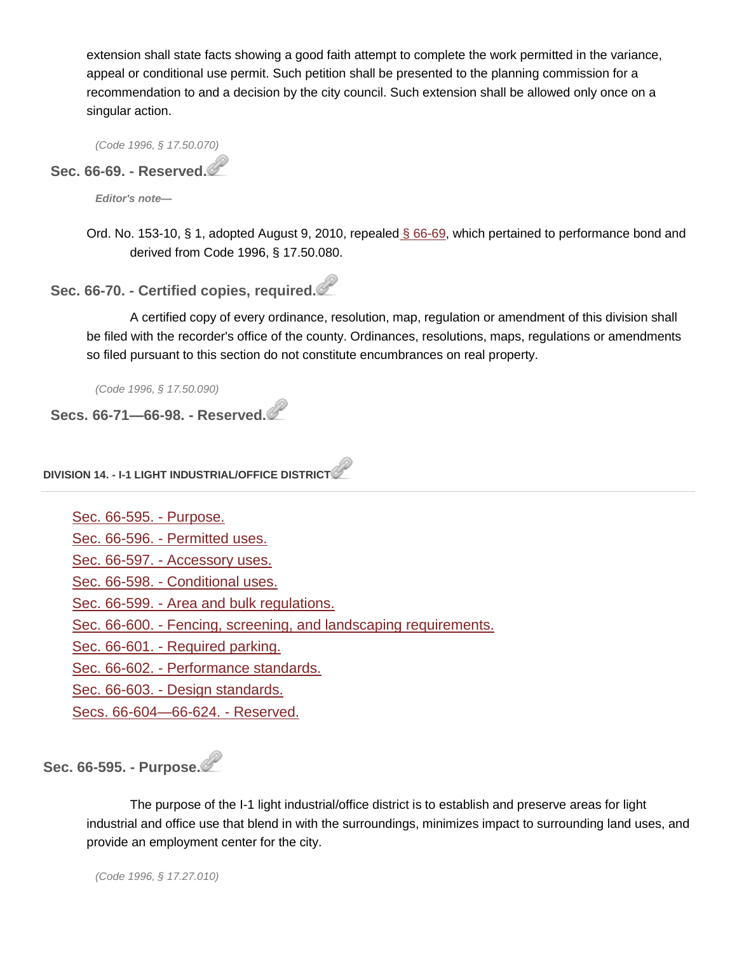extension shall state facts showing a good faith attempt to complete the work permitted in the variance, appeal or conditional use permit. Such petition shall be presented to the planning commission for a recommendation to and a decision by the city council. Such extension shall be allowed only once on a singular action.

*(Code 1996, § 17.50.070)*

# **Sec. 66-69. - Reserved.**

*Editor's note—*

Ord. No. 153-10, § 1, adopted August 9, 2010, repealed § [66-69,](http://library.municode.com/HTML/14040/level4/COOR_CH66ZO_ARTIIADEN_DIV2VAAPAMCOUSPE.html#COOR_CH66ZO_ARTIIADEN_DIV2VAAPAMCOUSPE_S66-69RE) which pertained to performance bond and derived from Code 1996, § 17.50.080.

### **Sec. 66-70. - Certified copies, required.**

A certified copy of every ordinance, resolution, map, regulation or amendment of this division shall be filed with the recorder's office of the county. Ordinances, resolutions, maps, regulations or amendments so filed pursuant to this section do not constitute encumbrances on real property.

*(Code 1996, § 17.50.090)*

**Secs. 66-71—66-98. - Reserved.**

#### **DIVISION 14. - I-1 LIGHT INDUSTRIAL/OFFICE DISTRICT**

| Sec. 66-595. - Purpose.                                          |
|------------------------------------------------------------------|
| Sec. 66-596. - Permitted uses.                                   |
| Sec. 66-597. - Accessory uses.                                   |
| Sec. 66-598. - Conditional uses.                                 |
| Sec. 66-599. - Area and bulk regulations.                        |
| Sec. 66-600. - Fencing, screening, and landscaping requirements. |
| Sec. 66-601. - Required parking.                                 |
| Sec. 66-602. - Performance standards.                            |
| Sec. 66-603. - Design standards.                                 |
| Secs. 66-604-66-624. - Reserved.                                 |
|                                                                  |

**Sec. 66-595. - Purpose.**

The purpose of the I-1 light industrial/office district is to establish and preserve areas for light industrial and office use that blend in with the surroundings, minimizes impact to surrounding land uses, and provide an employment center for the city.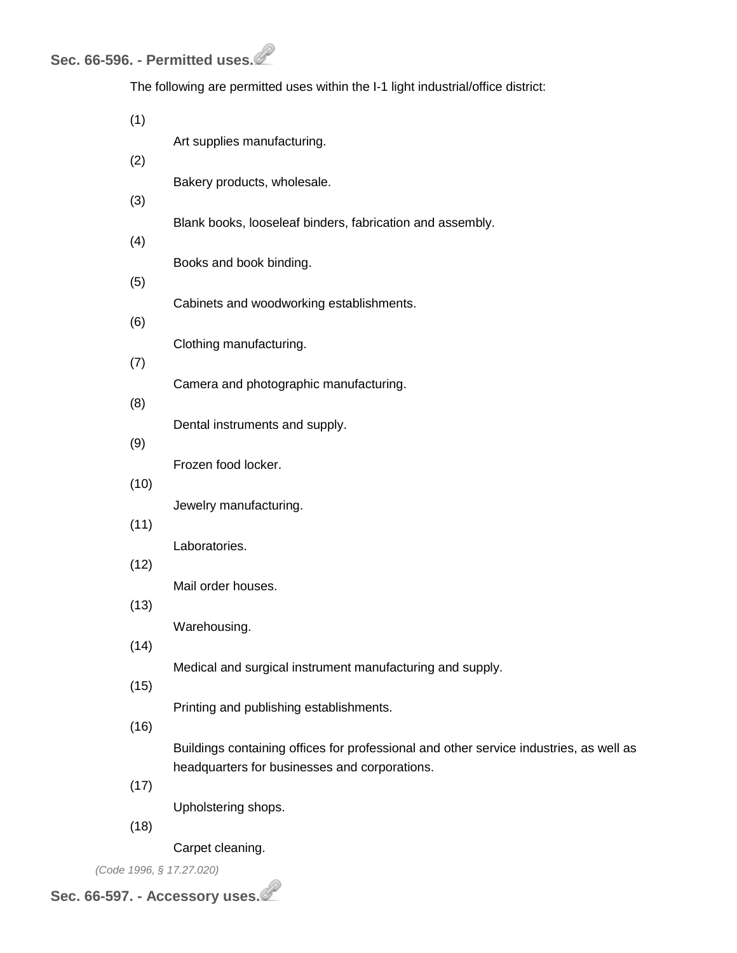The following are permitted uses within the I-1 light industrial/office district:

| (1)  |                                                                                                                                         |
|------|-----------------------------------------------------------------------------------------------------------------------------------------|
| (2)  | Art supplies manufacturing.                                                                                                             |
|      | Bakery products, wholesale.                                                                                                             |
| (3)  | Blank books, looseleaf binders, fabrication and assembly.                                                                               |
| (4)  |                                                                                                                                         |
| (5)  | Books and book binding.                                                                                                                 |
|      | Cabinets and woodworking establishments.                                                                                                |
| (6)  |                                                                                                                                         |
| (7)  | Clothing manufacturing.                                                                                                                 |
| (8)  | Camera and photographic manufacturing.                                                                                                  |
|      | Dental instruments and supply.                                                                                                          |
| (9)  | Frozen food locker.                                                                                                                     |
| (10) |                                                                                                                                         |
| (11) | Jewelry manufacturing.                                                                                                                  |
|      | Laboratories.                                                                                                                           |
| (12) | Mail order houses.                                                                                                                      |
| (13) |                                                                                                                                         |
| (14) | Warehousing.                                                                                                                            |
|      | Medical and surgical instrument manufacturing and supply.                                                                               |
| (15) | Printing and publishing establishments.                                                                                                 |
| (16) |                                                                                                                                         |
|      | Buildings containing offices for professional and other service industries, as well as<br>headquarters for businesses and corporations. |
| (17) |                                                                                                                                         |
| (18) | Upholstering shops.                                                                                                                     |
|      |                                                                                                                                         |

Carpet cleaning.

*(Code 1996, § 17.27.020)*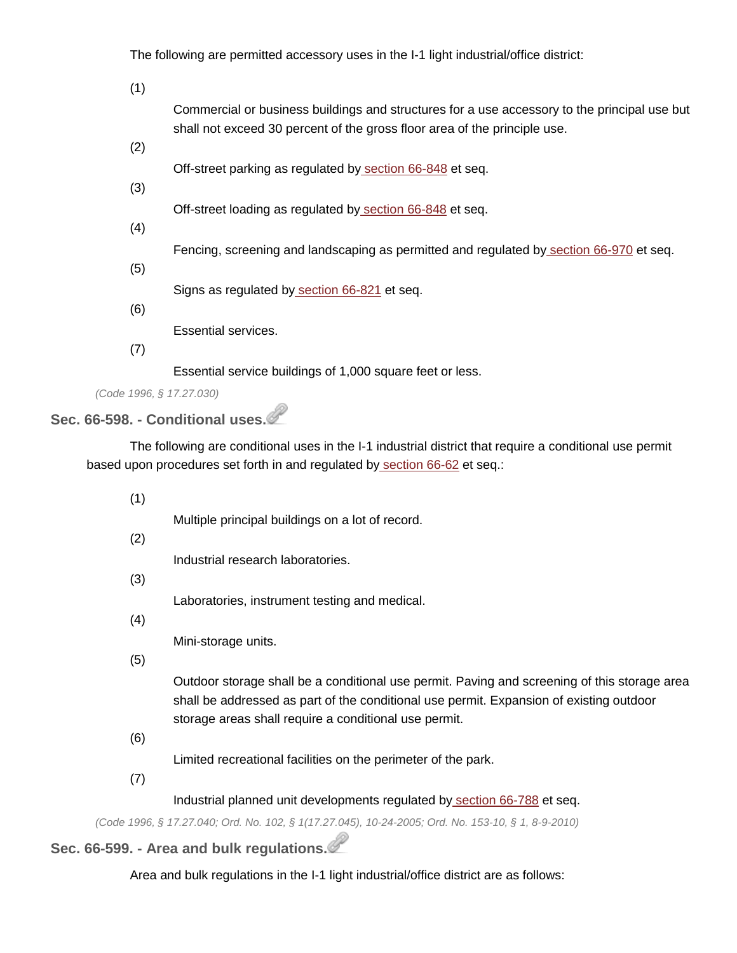The following are permitted accessory uses in the I-1 light industrial/office district:

(1)

Commercial or business buildings and structures for a use accessory to the principal use but shall not exceed 30 percent of the gross floor area of the principle use.

(2)

Off-street parking as regulated by [section](http://library.municode.com/HTML/14040/level3/COOR_CH66ZO_ARTVIIOREPALO.html#COOR_CH66ZO_ARTVIIOREPALO_S66-848PU) 66-848 et seq.

(3)

Off-street loading as regulated by [section](http://library.municode.com/HTML/14040/level3/COOR_CH66ZO_ARTVIIOREPALO.html#COOR_CH66ZO_ARTVIIOREPALO_S66-848PU) 66-848 et seq.

(4)

Fencing, screening and landscaping as permitted and regulated by [section](http://library.municode.com/HTML/14040/level3/COOR_CH66ZO_ARTXFESCLA.html#COOR_CH66ZO_ARTXFESCLA_S66-970PU) 66-970 et seq.

(5)

Signs as regulated by [section](http://library.municode.com/HTML/14040/level3/COOR_CH66ZO_ARTVISI.html#COOR_CH66ZO_ARTVISI_S66-821PU) 66-821 et seq.

(6)

Essential services.

(7)

Essential service buildings of 1,000 square feet or less.

*(Code 1996, § 17.27.030)*

#### **Sec. 66-598. - Conditional uses.**

The following are conditional uses in the I-1 industrial district that require a conditional use permit based upon procedures set forth in and regulated by [section](http://library.municode.com/HTML/14040/level4/COOR_CH66ZO_ARTIIADEN_DIV2VAAPAMCOUSPE.html#COOR_CH66ZO_ARTIIADEN_DIV2VAAPAMCOUSPE_S66-62PLCOPODU) 66-62 et seq.:

(1)

Multiple principal buildings on a lot of record.

(2)

Industrial research laboratories.

(3)

Laboratories, instrument testing and medical.

(4)

Mini-storage units.

(5)

Outdoor storage shall be a conditional use permit. Paving and screening of this storage area shall be addressed as part of the conditional use permit. Expansion of existing outdoor storage areas shall require a conditional use permit.

(6)

Limited recreational facilities on the perimeter of the park.

(7)

#### Industrial planned unit developments regulated by [section](http://library.municode.com/HTML/14040/level4/COOR_CH66ZO_ARTVDIDIRE_DIV21PUPLUNDE.html#COOR_CH66ZO_ARTVDIDIRE_DIV21PUPLUNDE_S66-788PU) 66-788 et seq.

*(Code 1996, § 17.27.040; Ord. No. 102, § 1(17.27.045), 10-24-2005; Ord. No. 153-10, § 1, 8-9-2010)*

# **Sec. 66-599. - Area and bulk regulations.**

Area and bulk regulations in the I-1 light industrial/office district are as follows: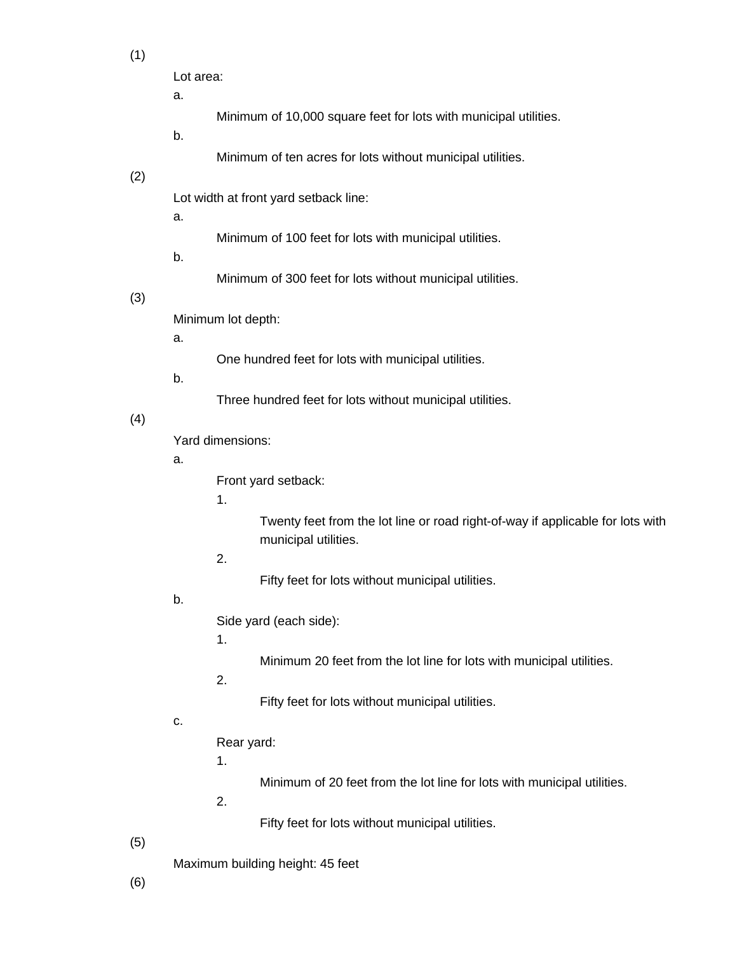(1)

| Lot area: |  |
|-----------|--|
|-----------|--|

a.

- Minimum of 10,000 square feet for lots with municipal utilities.
- b.
- Minimum of ten acres for lots without municipal utilities.

#### (2)

Lot width at front yard setback line:

a.

- Minimum of 100 feet for lots with municipal utilities.
- b.
- Minimum of 300 feet for lots without municipal utilities.

#### (3)

Minimum lot depth:

a.

One hundred feet for lots with municipal utilities.

b.

Three hundred feet for lots without municipal utilities.

#### (4)

Yard dimensions:

#### a.

Front yard setback:

#### 1.

Twenty feet from the lot line or road right-of-way if applicable for lots with municipal utilities.

### 2.

Fifty feet for lots without municipal utilities.

#### b.

Side yard (each side):

#### 1.

Minimum 20 feet from the lot line for lots with municipal utilities.

## 2.

Fifty feet for lots without municipal utilities.

#### c.

Rear yard:

1.

Minimum of 20 feet from the lot line for lots with municipal utilities.

2.

Fifty feet for lots without municipal utilities.

(5)

Maximum building height: 45 feet

(6)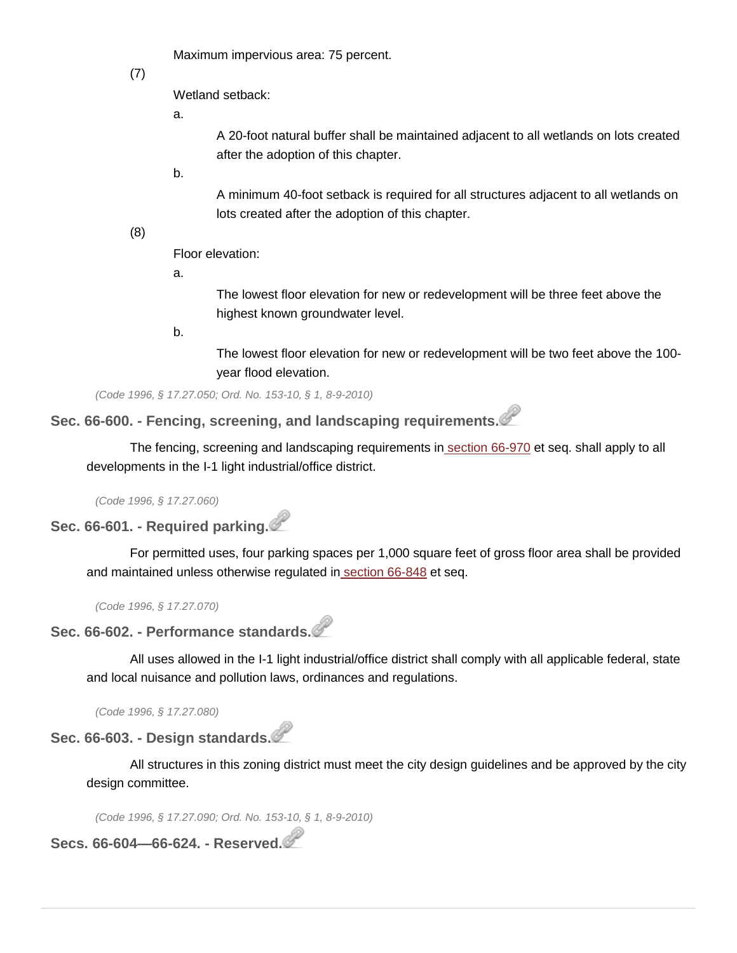Maximum impervious area: 75 percent.

(7)

Wetland setback:

a.

A 20-foot natural buffer shall be maintained adjacent to all wetlands on lots created after the adoption of this chapter.

b.

A minimum 40-foot setback is required for all structures adjacent to all wetlands on lots created after the adoption of this chapter.

(8)

Floor elevation:

a.

The lowest floor elevation for new or redevelopment will be three feet above the highest known groundwater level.

b.

The lowest floor elevation for new or redevelopment will be two feet above the 100 year flood elevation.

*(Code 1996, § 17.27.050; Ord. No. 153-10, § 1, 8-9-2010)*

**Sec. 66-600. - Fencing, screening, and landscaping requirements.**

The fencing, screening and landscaping requirements in [section](http://library.municode.com/HTML/14040/level3/COOR_CH66ZO_ARTXFESCLA.html#COOR_CH66ZO_ARTXFESCLA_S66-970PU) 66-970 et seq. shall apply to all developments in the I-1 light industrial/office district.

*(Code 1996, § 17.27.060)*

**Sec. 66-601. - Required parking.**

For permitted uses, four parking spaces per 1,000 square feet of gross floor area shall be provided and maintained unless otherwise regulated in [section](http://library.municode.com/HTML/14040/level3/COOR_CH66ZO_ARTVIIOREPALO.html#COOR_CH66ZO_ARTVIIOREPALO_S66-848PU) 66-848 et seq.

*(Code 1996, § 17.27.070)*

**Sec. 66-602. - Performance standards.**

All uses allowed in the I-1 light industrial/office district shall comply with all applicable federal, state and local nuisance and pollution laws, ordinances and regulations.

*(Code 1996, § 17.27.080)*

**Sec. 66-603. - Design standards.**

All structures in this zoning district must meet the city design guidelines and be approved by the city design committee.

*(Code 1996, § 17.27.090; Ord. No. 153-10, § 1, 8-9-2010)*

**Secs. 66-604—66-624. - Reserved.**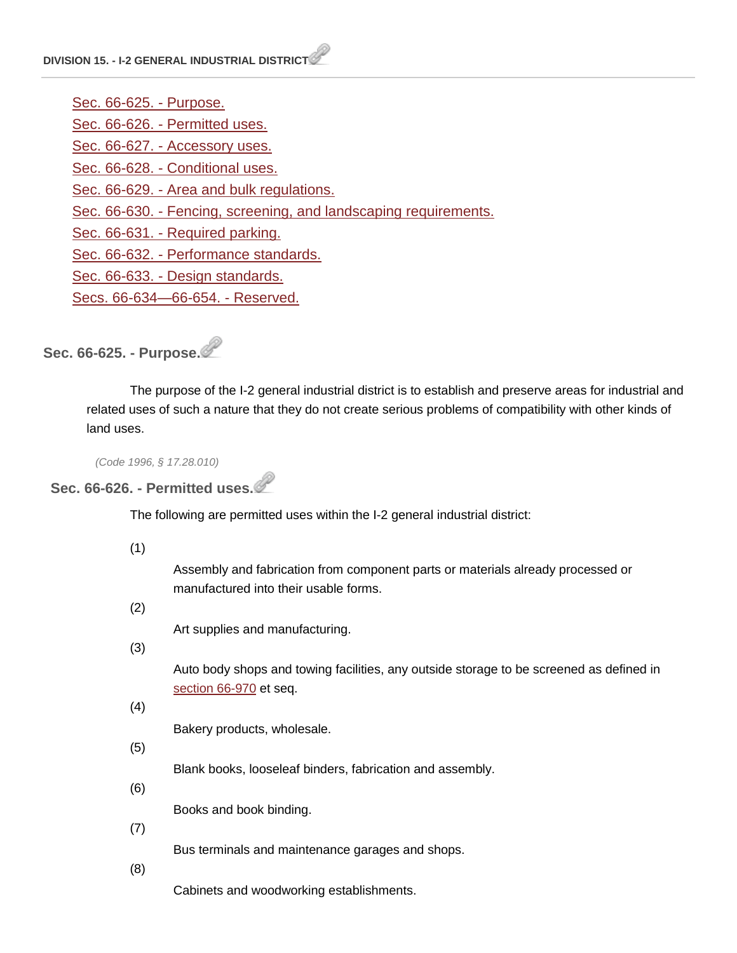[Sec. 66-625. -](http://library.municode.com/HTML/14040/level4/COOR_CH66ZO_ARTVDIDIRE_DIV15GEINDI.html#COOR_CH66ZO_ARTVDIDIRE_DIV15GEINDI_S66-625PU) Purpose. Sec. 66-626. - [Permitted uses.](http://library.municode.com/HTML/14040/level4/COOR_CH66ZO_ARTVDIDIRE_DIV15GEINDI.html#COOR_CH66ZO_ARTVDIDIRE_DIV15GEINDI_S66-626PEUS) Sec. 66-627. - [Accessory uses.](http://library.municode.com/HTML/14040/level4/COOR_CH66ZO_ARTVDIDIRE_DIV15GEINDI.html#COOR_CH66ZO_ARTVDIDIRE_DIV15GEINDI_S66-627ACUS) Sec. 66-628. - [Conditional uses.](http://library.municode.com/HTML/14040/level4/COOR_CH66ZO_ARTVDIDIRE_DIV15GEINDI.html#COOR_CH66ZO_ARTVDIDIRE_DIV15GEINDI_S66-628COUS) Sec. 66-629. - [Area and bulk regulations.](http://library.municode.com/HTML/14040/level4/COOR_CH66ZO_ARTVDIDIRE_DIV15GEINDI.html#COOR_CH66ZO_ARTVDIDIRE_DIV15GEINDI_S66-629ARBURE) Sec. 66-630. - [Fencing, screening, and landscaping requirements.](http://library.municode.com/HTML/14040/level4/COOR_CH66ZO_ARTVDIDIRE_DIV15GEINDI.html#COOR_CH66ZO_ARTVDIDIRE_DIV15GEINDI_S66-630FESCLARE) Sec. 66-631. - [Required parking.](http://library.municode.com/HTML/14040/level4/COOR_CH66ZO_ARTVDIDIRE_DIV15GEINDI.html#COOR_CH66ZO_ARTVDIDIRE_DIV15GEINDI_S66-631REPA) Sec. 66-632. - [Performance standards.](http://library.municode.com/HTML/14040/level4/COOR_CH66ZO_ARTVDIDIRE_DIV15GEINDI.html#COOR_CH66ZO_ARTVDIDIRE_DIV15GEINDI_S66-632PEST) Sec. 66-633. - [Design standards.](http://library.municode.com/HTML/14040/level4/COOR_CH66ZO_ARTVDIDIRE_DIV15GEINDI.html#COOR_CH66ZO_ARTVDIDIRE_DIV15GEINDI_S66-633DEST) [Secs. 66-634—66-654. -](http://library.municode.com/HTML/14040/level4/COOR_CH66ZO_ARTVDIDIRE_DIV15GEINDI.html#COOR_CH66ZO_ARTVDIDIRE_DIV15GEINDI_SS66-634--66-654RE) Reserved.

**Sec. 66-625. - Purpose.**

The purpose of the I-2 general industrial district is to establish and preserve areas for industrial and related uses of such a nature that they do not create serious problems of compatibility with other kinds of land uses.

*(Code 1996, § 17.28.010)*

**Sec. 66-626. - Permitted uses.**

The following are permitted uses within the I-2 general industrial district:

(1)

Assembly and fabrication from component parts or materials already processed or manufactured into their usable forms.

(2)

Art supplies and manufacturing.

(3)

Auto body shops and towing facilities, any outside storage to be screened as defined i[n](http://library.municode.com/HTML/14040/level3/COOR_CH66ZO_ARTXFESCLA.html#COOR_CH66ZO_ARTXFESCLA_S66-970PU) [section](http://library.municode.com/HTML/14040/level3/COOR_CH66ZO_ARTXFESCLA.html#COOR_CH66ZO_ARTXFESCLA_S66-970PU) 66-970 et seq.

(4)

Bakery products, wholesale.

(5)

Blank books, looseleaf binders, fabrication and assembly.

(6)

Books and book binding.

(7)

Bus terminals and maintenance garages and shops.

(8)

Cabinets and woodworking establishments.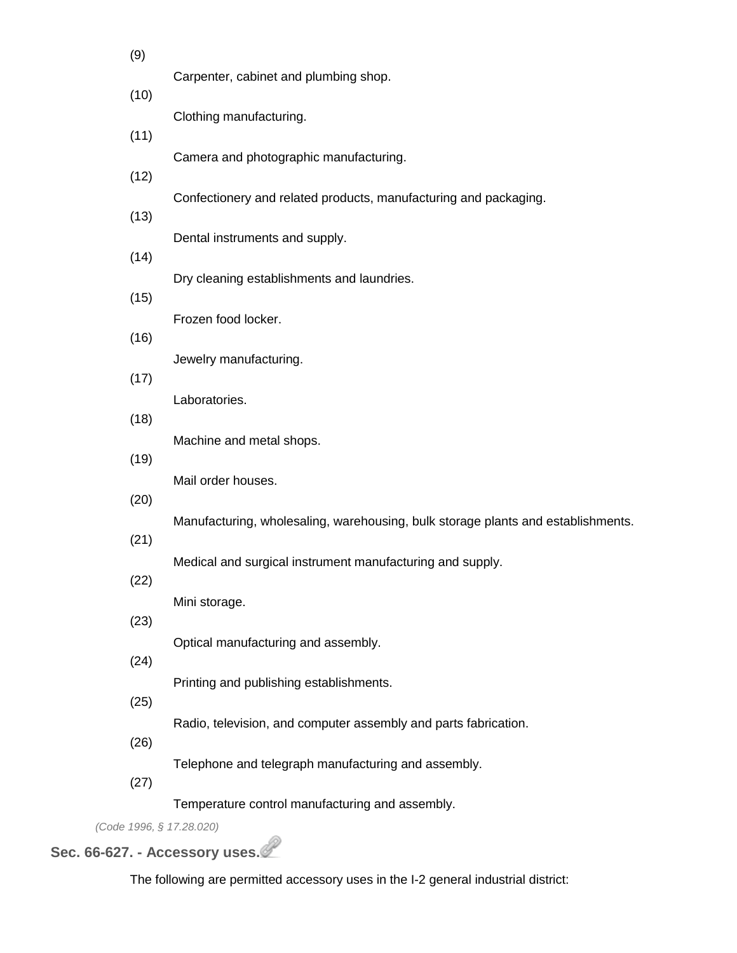| (9)  |                                                                                  |
|------|----------------------------------------------------------------------------------|
| (10) | Carpenter, cabinet and plumbing shop.                                            |
| (11) | Clothing manufacturing.                                                          |
|      | Camera and photographic manufacturing.                                           |
| (12) | Confectionery and related products, manufacturing and packaging.                 |
| (13) | Dental instruments and supply.                                                   |
| (14) | Dry cleaning establishments and laundries.                                       |
| (15) | Frozen food locker.                                                              |
| (16) |                                                                                  |
| (17) | Jewelry manufacturing.                                                           |
| (18) | Laboratories.                                                                    |
| (19) | Machine and metal shops.                                                         |
| (20) | Mail order houses.                                                               |
| (21) | Manufacturing, wholesaling, warehousing, bulk storage plants and establishments. |
|      | Medical and surgical instrument manufacturing and supply.                        |
| (22) | Mini storage.                                                                    |
| (23) | Optical manufacturing and assembly.                                              |
| (24) | Printing and publishing establishments.                                          |
| (25) | Radio, television, and computer assembly and parts fabrication.                  |
| (26) | Telephone and telegraph manufacturing and assembly.                              |
| (27) |                                                                                  |
|      | Temperature control manufacturing and assembly.                                  |

*(Code 1996, § 17.28.020)*

# **Sec. 66-627. - Accessory uses.**

The following are permitted accessory uses in the I-2 general industrial district: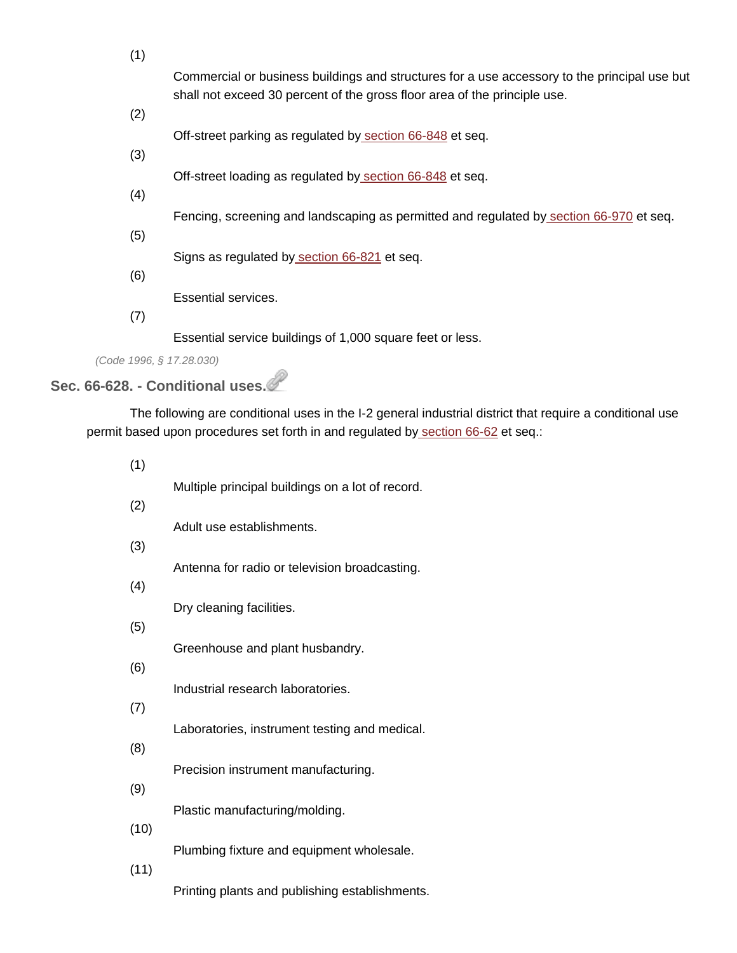| (1) |                                                                                              |
|-----|----------------------------------------------------------------------------------------------|
|     | Commercial or business buildings and structures for a use accessory to the principal use but |
| (2) | shall not exceed 30 percent of the gross floor area of the principle use.                    |
|     | Off-street parking as regulated by section 66-848 et seq.                                    |
| (3) |                                                                                              |
|     | Off-street loading as regulated by section 66-848 et seq.                                    |
| (4) |                                                                                              |
|     | Fencing, screening and landscaping as permitted and regulated by section 66-970 et seq.      |
| (5) | Signs as regulated by section 66-821 et seq.                                                 |
| (6) |                                                                                              |
|     | Essential services.                                                                          |
| 7   |                                                                                              |

Essential service buildings of 1,000 square feet or less.

*(Code 1996, § 17.28.030)*

# **Sec. 66-628. - Conditional uses.**

The following are conditional uses in the I-2 general industrial district that require a conditional use permit based upon procedures set forth in and regulated by [section](http://library.municode.com/HTML/14040/level4/COOR_CH66ZO_ARTIIADEN_DIV2VAAPAMCOUSPE.html#COOR_CH66ZO_ARTIIADEN_DIV2VAAPAMCOUSPE_S66-62PLCOPODU) 66-62 et seq.:

| (1)  |                                                  |
|------|--------------------------------------------------|
| (2)  | Multiple principal buildings on a lot of record. |
|      | Adult use establishments.                        |
| (3)  | Antenna for radio or television broadcasting.    |
| (4)  | Dry cleaning facilities.                         |
| (5)  |                                                  |
| (6)  | Greenhouse and plant husbandry.                  |
|      | Industrial research laboratories.                |
| (7)  | Laboratories, instrument testing and medical.    |
| (8)  |                                                  |
| (9)  | Precision instrument manufacturing.              |
| (10) | Plastic manufacturing/molding.                   |
|      | Plumbing fixture and equipment wholesale.        |
| (11) | Printing plants and publishing establishments.   |
|      |                                                  |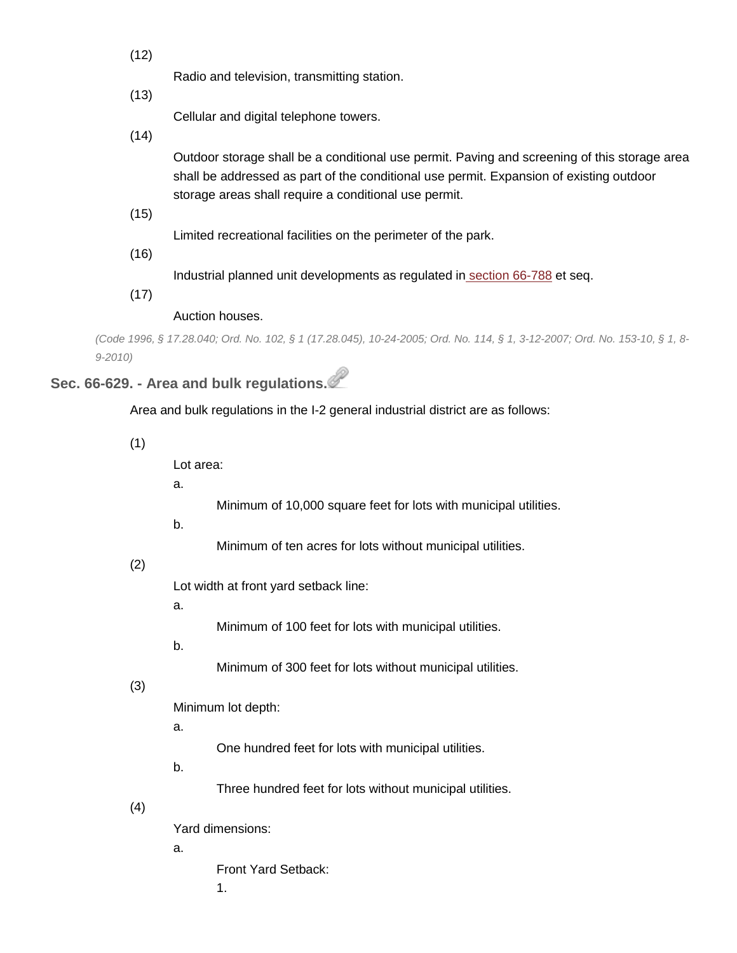(12)

Radio and television, transmitting station.

(13)

Cellular and digital telephone towers.

(14)

Outdoor storage shall be a conditional use permit. Paving and screening of this storage area shall be addressed as part of the conditional use permit. Expansion of existing outdoor storage areas shall require a conditional use permit.

(15)

Limited recreational facilities on the perimeter of the park.

(16)

Industrial planned unit developments as regulated in [section](http://library.municode.com/HTML/14040/level4/COOR_CH66ZO_ARTVDIDIRE_DIV21PUPLUNDE.html#COOR_CH66ZO_ARTVDIDIRE_DIV21PUPLUNDE_S66-788PU) 66-788 et seq.

(17)

Auction houses.

(Code 1996, § 17.28.040; Ord. No. 102, § 1 (17.28.045), 10-24-2005; Ord. No. 114, § 1, 3-12-2007; Ord. No. 153-10, § 1, 8-*9-2010)*

# **Sec. 66-629. - Area and bulk regulations.**

Area and bulk regulations in the I-2 general industrial district are as follows:

(1)

Lot area:

a.

Minimum of 10,000 square feet for lots with municipal utilities.

b.

Minimum of ten acres for lots without municipal utilities.

#### (2)

Lot width at front yard setback line:

a.

Minimum of 100 feet for lots with municipal utilities.

b.

Minimum of 300 feet for lots without municipal utilities.

(3)

Minimum lot depth:

a.

One hundred feet for lots with municipal utilities.

b.

Three hundred feet for lots without municipal utilities.

(4)

Yard dimensions:

a.

Front Yard Setback:

1.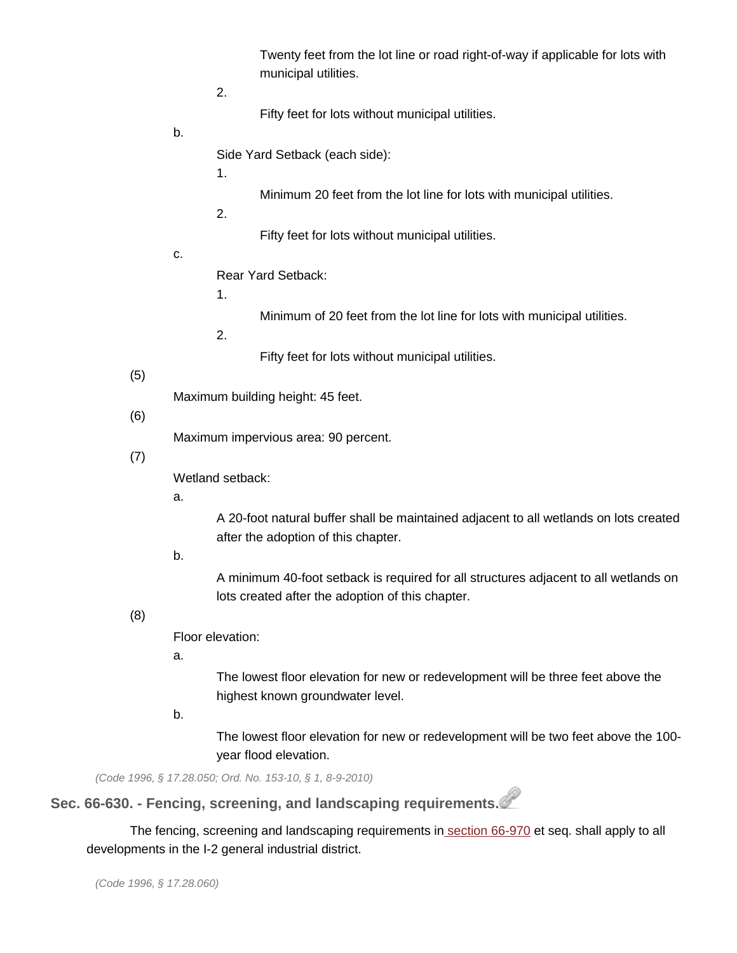Twenty feet from the lot line or road right-of-way if applicable for lots with municipal utilities.

2.

Fifty feet for lots without municipal utilities.

b.

Side Yard Setback (each side):

1.

Minimum 20 feet from the lot line for lots with municipal utilities.

2.

Fifty feet for lots without municipal utilities.

c.

Rear Yard Setback:

1.

Minimum of 20 feet from the lot line for lots with municipal utilities.

2.

Fifty feet for lots without municipal utilities.

#### (5)

Maximum building height: 45 feet.

#### (6)

Maximum impervious area: 90 percent.

(7)

Wetland setback:

a.

A 20-foot natural buffer shall be maintained adjacent to all wetlands on lots created after the adoption of this chapter.

b.

A minimum 40-foot setback is required for all structures adjacent to all wetlands on lots created after the adoption of this chapter.

#### (8)

Floor elevation:

a.

The lowest floor elevation for new or redevelopment will be three feet above the highest known groundwater level.

b.

The lowest floor elevation for new or redevelopment will be two feet above the 100 year flood elevation.

*(Code 1996, § 17.28.050; Ord. No. 153-10, § 1, 8-9-2010)*

**Sec. 66-630. - Fencing, screening, and landscaping requirements.**

The fencing, screening and landscaping requirements in [section](http://library.municode.com/HTML/14040/level3/COOR_CH66ZO_ARTXFESCLA.html#COOR_CH66ZO_ARTXFESCLA_S66-970PU) 66-970 et seq. shall apply to all developments in the I-2 general industrial district.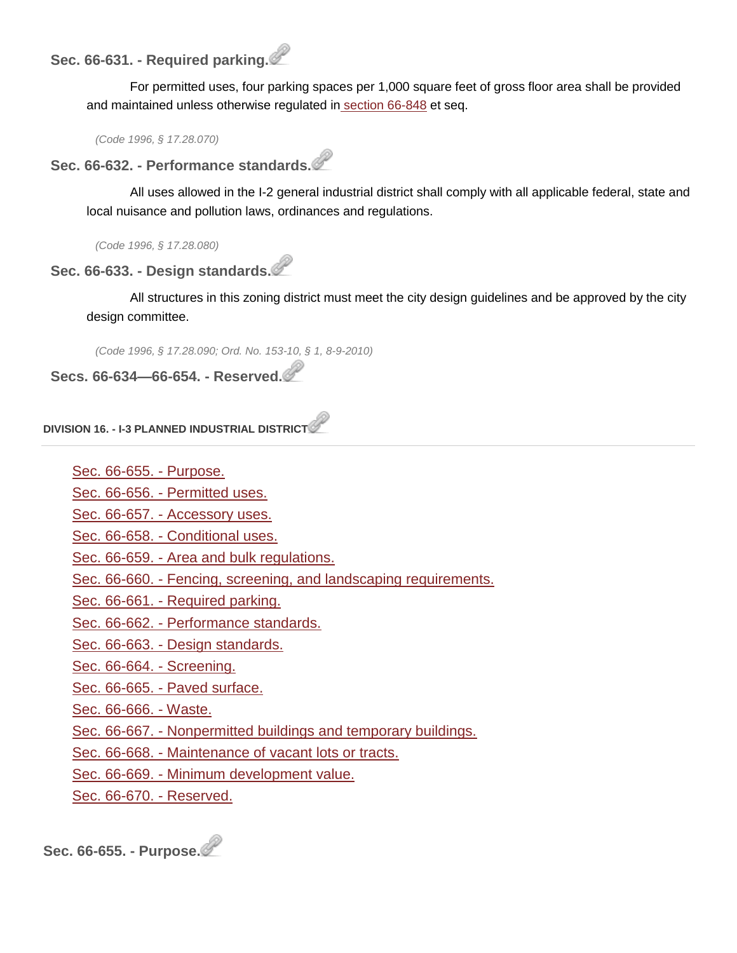# **Sec. 66-631. - Required parking.**

For permitted uses, four parking spaces per 1,000 square feet of gross floor area shall be provided and maintained unless otherwise regulated in [section](http://library.municode.com/HTML/14040/level3/COOR_CH66ZO_ARTVIIOREPALO.html#COOR_CH66ZO_ARTVIIOREPALO_S66-848PU) 66-848 et seq.

*(Code 1996, § 17.28.070)*

**Sec. 66-632. - Performance standards.**

All uses allowed in the I-2 general industrial district shall comply with all applicable federal, state and local nuisance and pollution laws, ordinances and regulations.

*(Code 1996, § 17.28.080)*

#### **Sec. 66-633. - Design standards.**

All structures in this zoning district must meet the city design guidelines and be approved by the city design committee.

*(Code 1996, § 17.28.090; Ord. No. 153-10, § 1, 8-9-2010)*

**Secs. 66-634—66-654. - Reserved.**

**DIVISION 16. - I-3 PLANNED INDUSTRIAL DISTRICT**

[Sec. 66-655. -](http://library.municode.com/HTML/14040/level4/COOR_CH66ZO_ARTVDIDIRE_DIV16PLINDI.html#COOR_CH66ZO_ARTVDIDIRE_DIV16PLINDI_S66-655PU) Purpose.

Sec. 66-656. - [Permitted uses.](http://library.municode.com/HTML/14040/level4/COOR_CH66ZO_ARTVDIDIRE_DIV16PLINDI.html#COOR_CH66ZO_ARTVDIDIRE_DIV16PLINDI_S66-656PEUS)

Sec. 66-657. - [Accessory uses.](http://library.municode.com/HTML/14040/level4/COOR_CH66ZO_ARTVDIDIRE_DIV16PLINDI.html#COOR_CH66ZO_ARTVDIDIRE_DIV16PLINDI_S66-657ACUS)

Sec. 66-658. - [Conditional uses.](http://library.municode.com/HTML/14040/level4/COOR_CH66ZO_ARTVDIDIRE_DIV16PLINDI.html#COOR_CH66ZO_ARTVDIDIRE_DIV16PLINDI_S66-658COUS)

Sec. 66-659. - [Area and bulk regulations.](http://library.municode.com/HTML/14040/level4/COOR_CH66ZO_ARTVDIDIRE_DIV16PLINDI.html#COOR_CH66ZO_ARTVDIDIRE_DIV16PLINDI_S66-659ARBURE)

Sec. 66-660. - [Fencing, screening, and landscaping requirements.](http://library.municode.com/HTML/14040/level4/COOR_CH66ZO_ARTVDIDIRE_DIV16PLINDI.html#COOR_CH66ZO_ARTVDIDIRE_DIV16PLINDI_S66-660FESCLARE)

Sec. 66-661. - [Required parking.](http://library.municode.com/HTML/14040/level4/COOR_CH66ZO_ARTVDIDIRE_DIV16PLINDI.html#COOR_CH66ZO_ARTVDIDIRE_DIV16PLINDI_S66-661REPA)

Sec. 66-662. - [Performance standards.](http://library.municode.com/HTML/14040/level4/COOR_CH66ZO_ARTVDIDIRE_DIV16PLINDI.html#COOR_CH66ZO_ARTVDIDIRE_DIV16PLINDI_S66-662PEST)

Sec. 66-663. - [Design standards.](http://library.municode.com/HTML/14040/level4/COOR_CH66ZO_ARTVDIDIRE_DIV16PLINDI.html#COOR_CH66ZO_ARTVDIDIRE_DIV16PLINDI_S66-663DEST)

[Sec. 66-664. -](http://library.municode.com/HTML/14040/level4/COOR_CH66ZO_ARTVDIDIRE_DIV16PLINDI.html#COOR_CH66ZO_ARTVDIDIRE_DIV16PLINDI_S66-664SC) Screening.

Sec. 66-665. - [Paved surface.](http://library.municode.com/HTML/14040/level4/COOR_CH66ZO_ARTVDIDIRE_DIV16PLINDI.html#COOR_CH66ZO_ARTVDIDIRE_DIV16PLINDI_S66-665PASU)

[Sec. 66-666. -](http://library.municode.com/HTML/14040/level4/COOR_CH66ZO_ARTVDIDIRE_DIV16PLINDI.html#COOR_CH66ZO_ARTVDIDIRE_DIV16PLINDI_S66-666WA) Waste.

Sec. 66-667. - [Nonpermitted buildings and temporary buildings.](http://library.municode.com/HTML/14040/level4/COOR_CH66ZO_ARTVDIDIRE_DIV16PLINDI.html#COOR_CH66ZO_ARTVDIDIRE_DIV16PLINDI_S66-667NOBUTEBU)

Sec. 66-668. - [Maintenance of vacant lots or tracts.](http://library.municode.com/HTML/14040/level4/COOR_CH66ZO_ARTVDIDIRE_DIV16PLINDI.html#COOR_CH66ZO_ARTVDIDIRE_DIV16PLINDI_S66-668MAVALOTR)

Sec. 66-669. - [Minimum development value.](http://library.municode.com/HTML/14040/level4/COOR_CH66ZO_ARTVDIDIRE_DIV16PLINDI.html#COOR_CH66ZO_ARTVDIDIRE_DIV16PLINDI_S66-669MIDEVA)

[Sec. 66-670. -](http://library.municode.com/HTML/14040/level4/COOR_CH66ZO_ARTVDIDIRE_DIV16PLINDI.html#COOR_CH66ZO_ARTVDIDIRE_DIV16PLINDI_S66-670RE) Reserved.

**Sec. 66-655. - Purpose.**

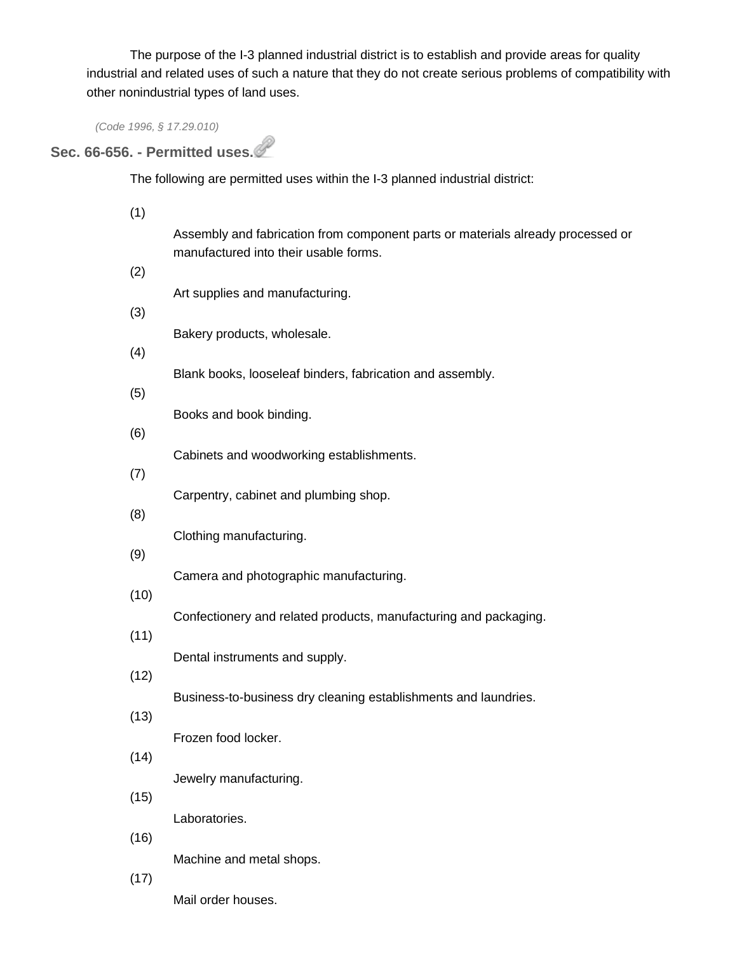The purpose of the I-3 planned industrial district is to establish and provide areas for quality industrial and related uses of such a nature that they do not create serious problems of compatibility with other nonindustrial types of land uses.

*(Code 1996, § 17.29.010)*

# **Sec. 66-656. - Permitted uses.**

The following are permitted uses within the I-3 planned industrial district:

| (1)  |                                                                                                                          |
|------|--------------------------------------------------------------------------------------------------------------------------|
|      | Assembly and fabrication from component parts or materials already processed or<br>manufactured into their usable forms. |
| (2)  |                                                                                                                          |
| (3)  | Art supplies and manufacturing.                                                                                          |
|      | Bakery products, wholesale.                                                                                              |
| (4)  |                                                                                                                          |
| (5)  | Blank books, looseleaf binders, fabrication and assembly.                                                                |
|      | Books and book binding.                                                                                                  |
| (6)  | Cabinets and woodworking establishments.                                                                                 |
| (7)  |                                                                                                                          |
| (8)  | Carpentry, cabinet and plumbing shop.                                                                                    |
|      | Clothing manufacturing.                                                                                                  |
| (9)  | Camera and photographic manufacturing.                                                                                   |
| (10) |                                                                                                                          |
|      | Confectionery and related products, manufacturing and packaging.                                                         |
| (11) | Dental instruments and supply.                                                                                           |
| (12) |                                                                                                                          |
| (13) | Business-to-business dry cleaning establishments and laundries.                                                          |
|      | Frozen food locker.                                                                                                      |
| (14) | Jewelry manufacturing.                                                                                                   |
| (15) |                                                                                                                          |
|      | Laboratories.                                                                                                            |
| (16) | Machine and metal shops.                                                                                                 |
| (17) |                                                                                                                          |

Mail order houses.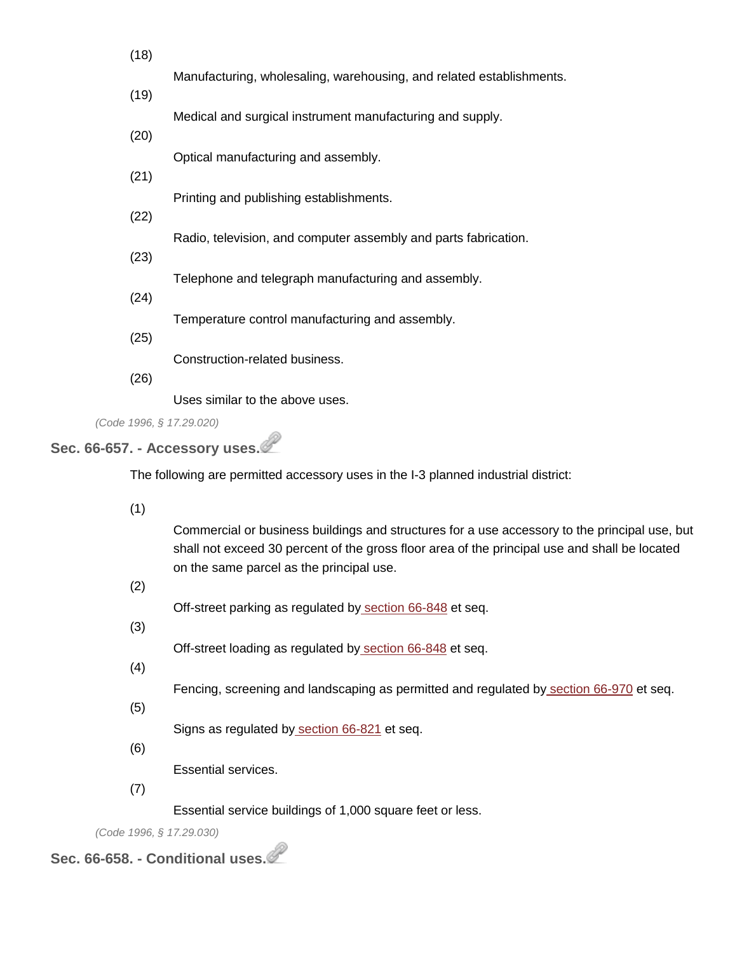| (18) |                                                                      |
|------|----------------------------------------------------------------------|
| (19) | Manufacturing, wholesaling, warehousing, and related establishments. |
|      | Medical and surgical instrument manufacturing and supply.            |
| (20) |                                                                      |
| (21) | Optical manufacturing and assembly.                                  |
| (22) | Printing and publishing establishments.                              |
|      | Radio, television, and computer assembly and parts fabrication.      |
| (23) |                                                                      |
| (24) | Telephone and telegraph manufacturing and assembly.                  |
|      | Temperature control manufacturing and assembly.                      |
| (25) | Construction-related business.                                       |
| (26) |                                                                      |
|      | Uses similar to the above uses.                                      |
|      | (Code 1996, § 17.29.020)                                             |

### **Sec. 66-657. - Accessory uses.**

The following are permitted accessory uses in the I-3 planned industrial district:

(1)

Commercial or business buildings and structures for a use accessory to the principal use, but shall not exceed 30 percent of the gross floor area of the principal use and shall be located on the same parcel as the principal use.

(2)

Off-street parking as regulated by [section](http://library.municode.com/HTML/14040/level3/COOR_CH66ZO_ARTVIIOREPALO.html#COOR_CH66ZO_ARTVIIOREPALO_S66-848PU) 66-848 et seq.

(3)

Off-street loading as regulated by [section](http://library.municode.com/HTML/14040/level3/COOR_CH66ZO_ARTVIIOREPALO.html#COOR_CH66ZO_ARTVIIOREPALO_S66-848PU) 66-848 et seq.

(4)

Fencing, screening and landscaping as permitted and regulated by [section](http://library.municode.com/HTML/14040/level3/COOR_CH66ZO_ARTXFESCLA.html#COOR_CH66ZO_ARTXFESCLA_S66-970PU) 66-970 et seq.

(5)

Signs as regulated by [section](http://library.municode.com/HTML/14040/level3/COOR_CH66ZO_ARTVISI.html#COOR_CH66ZO_ARTVISI_S66-821PU) 66-821 et seq.

(6)

Essential services.

(7)

Essential service buildings of 1,000 square feet or less.

*(Code 1996, § 17.29.030)*

**Sec. 66-658. - Conditional uses.**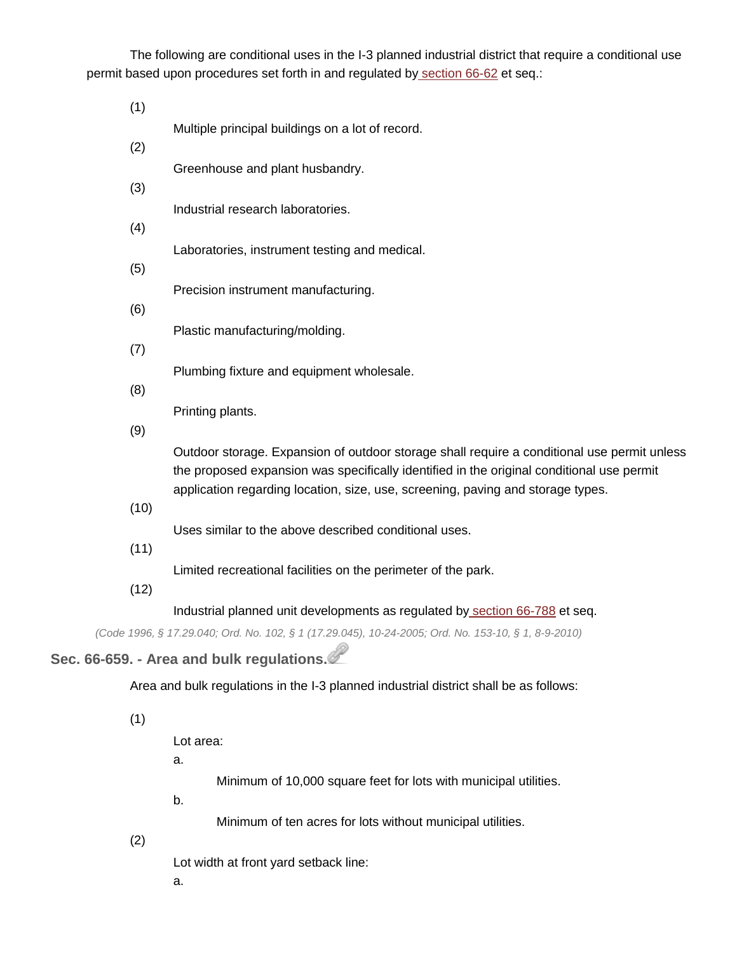The following are conditional uses in the I-3 planned industrial district that require a conditional use permit based upon procedures set forth in and regulated by [section](http://library.municode.com/HTML/14040/level4/COOR_CH66ZO_ARTIIADEN_DIV2VAAPAMCOUSPE.html#COOR_CH66ZO_ARTIIADEN_DIV2VAAPAMCOUSPE_S66-62PLCOPODU) 66-62 et seq.:

(1) Multiple principal buildings on a lot of record.

(2)

- Greenhouse and plant husbandry.
- (3)

Industrial research laboratories.

(4)

Laboratories, instrument testing and medical.

(5)

Precision instrument manufacturing.

(6)

Plastic manufacturing/molding.

(7)

Plumbing fixture and equipment wholesale.

(8)

Printing plants.

(9)

Outdoor storage. Expansion of outdoor storage shall require a conditional use permit unless the proposed expansion was specifically identified in the original conditional use permit application regarding location, size, use, screening, paving and storage types.

(10)

Uses similar to the above described conditional uses.

(11)

Limited recreational facilities on the perimeter of the park.

(12)

Industrial planned unit developments as regulated by [section](http://library.municode.com/HTML/14040/level4/COOR_CH66ZO_ARTVDIDIRE_DIV21PUPLUNDE.html#COOR_CH66ZO_ARTVDIDIRE_DIV21PUPLUNDE_S66-788PU) 66-788 et seq.

*(Code 1996, § 17.29.040; Ord. No. 102, § 1 (17.29.045), 10-24-2005; Ord. No. 153-10, § 1, 8-9-2010)*

# **Sec. 66-659. - Area and bulk regulations.**

Area and bulk regulations in the I-3 planned industrial district shall be as follows:

(1)

Lot area:

a.

Minimum of 10,000 square feet for lots with municipal utilities.

b.

Minimum of ten acres for lots without municipal utilities.

(2)

Lot width at front yard setback line:

a.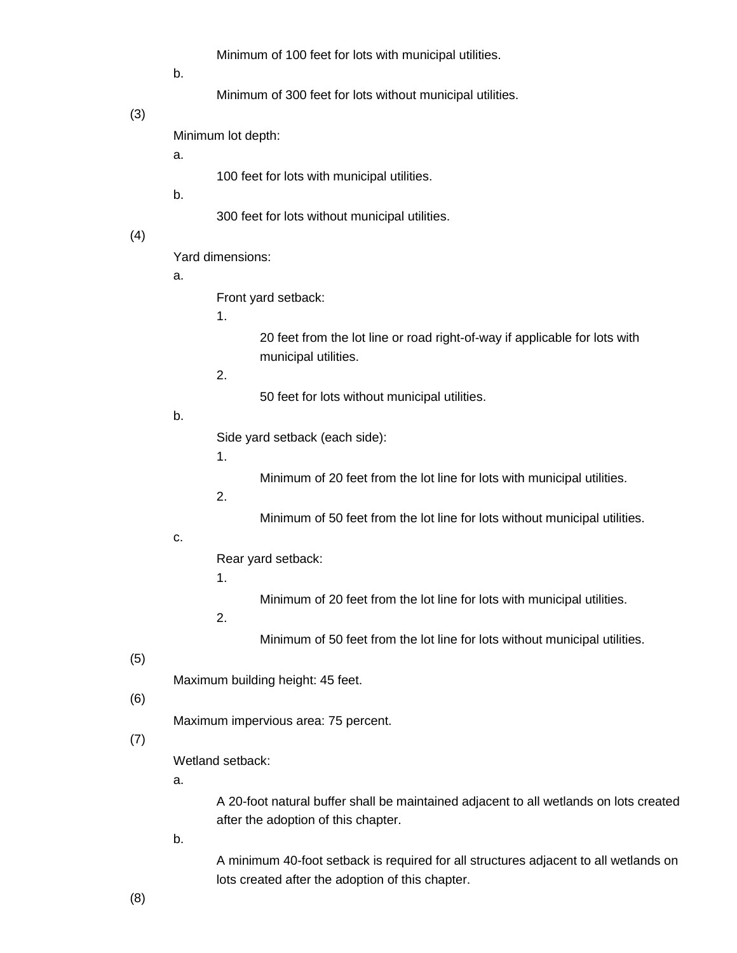Minimum of 100 feet for lots with municipal utilities.

b.

Minimum of 300 feet for lots without municipal utilities.

(3)

Minimum lot depth:

a.

100 feet for lots with municipal utilities.

b.

300 feet for lots without municipal utilities.

(4)

Yard dimensions:

a.

Front yard setback:

1.

20 feet from the lot line or road right-of-way if applicable for lots with municipal utilities.

2.

50 feet for lots without municipal utilities.

b.

Side yard setback (each side):

1.

Minimum of 20 feet from the lot line for lots with municipal utilities.

2.

Minimum of 50 feet from the lot line for lots without municipal utilities.

### c.

Rear yard setback:

1.

Minimum of 20 feet from the lot line for lots with municipal utilities.

2.

Minimum of 50 feet from the lot line for lots without municipal utilities.

(5)

Maximum building height: 45 feet.

#### (6)

Maximum impervious area: 75 percent.

#### (7)

Wetland setback:

a.

A 20-foot natural buffer shall be maintained adjacent to all wetlands on lots created after the adoption of this chapter.

b.

A minimum 40-foot setback is required for all structures adjacent to all wetlands on lots created after the adoption of this chapter.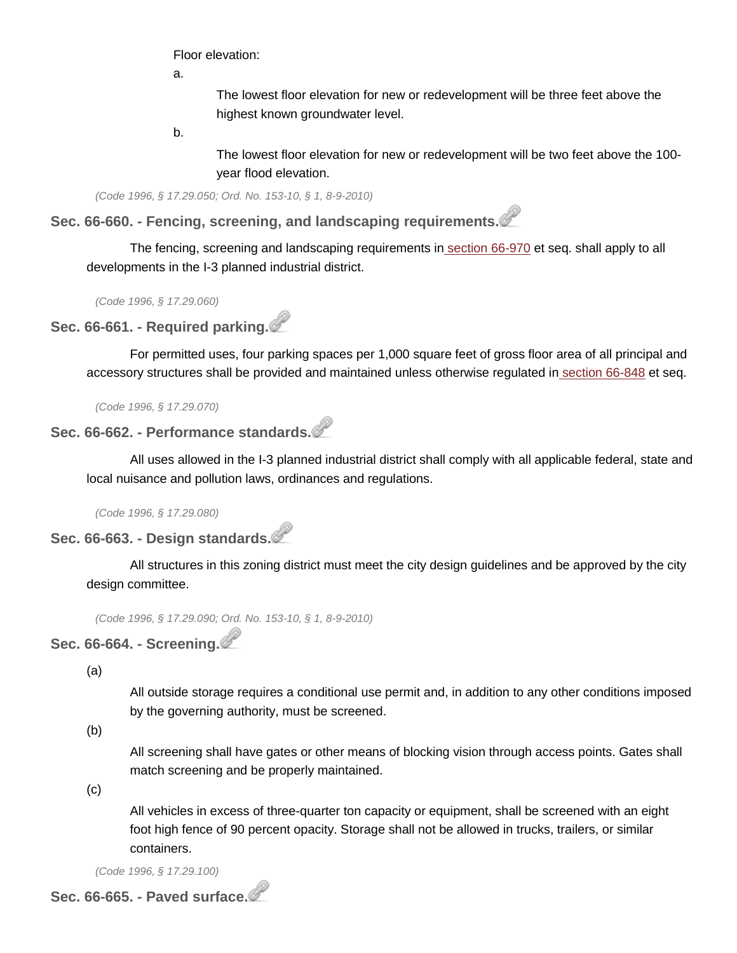Floor elevation:

a.

The lowest floor elevation for new or redevelopment will be three feet above the highest known groundwater level.

b.

The lowest floor elevation for new or redevelopment will be two feet above the 100 year flood elevation.

*(Code 1996, § 17.29.050; Ord. No. 153-10, § 1, 8-9-2010)*

**Sec. 66-660. - Fencing, screening, and landscaping requirements.**

The fencing, screening and landscaping requirements in [section](http://library.municode.com/HTML/14040/level3/COOR_CH66ZO_ARTXFESCLA.html#COOR_CH66ZO_ARTXFESCLA_S66-970PU) 66-970 et seq. shall apply to all developments in the I-3 planned industrial district.

*(Code 1996, § 17.29.060)*

**Sec. 66-661. - Required parking.**

For permitted uses, four parking spaces per 1,000 square feet of gross floor area of all principal and accessory structures shall be provided and maintained unless otherwise regulated in [section](http://library.municode.com/HTML/14040/level3/COOR_CH66ZO_ARTVIIOREPALO.html#COOR_CH66ZO_ARTVIIOREPALO_S66-848PU) 66-848 et seq.

*(Code 1996, § 17.29.070)*

**Sec. 66-662. - Performance standards.**

All uses allowed in the I-3 planned industrial district shall comply with all applicable federal, state and local nuisance and pollution laws, ordinances and regulations.

*(Code 1996, § 17.29.080)*

## **Sec. 66-663. - Design standards.**

All structures in this zoning district must meet the city design guidelines and be approved by the city design committee.

*(Code 1996, § 17.29.090; Ord. No. 153-10, § 1, 8-9-2010)*

# **Sec. 66-664. - Screening.**

(a)

All outside storage requires a conditional use permit and, in addition to any other conditions imposed by the governing authority, must be screened.

(b)

All screening shall have gates or other means of blocking vision through access points. Gates shall match screening and be properly maintained.

(c)

All vehicles in excess of three-quarter ton capacity or equipment, shall be screened with an eight foot high fence of 90 percent opacity. Storage shall not be allowed in trucks, trailers, or similar containers.

*(Code 1996, § 17.29.100)*

**Sec. 66-665. - Paved surface.**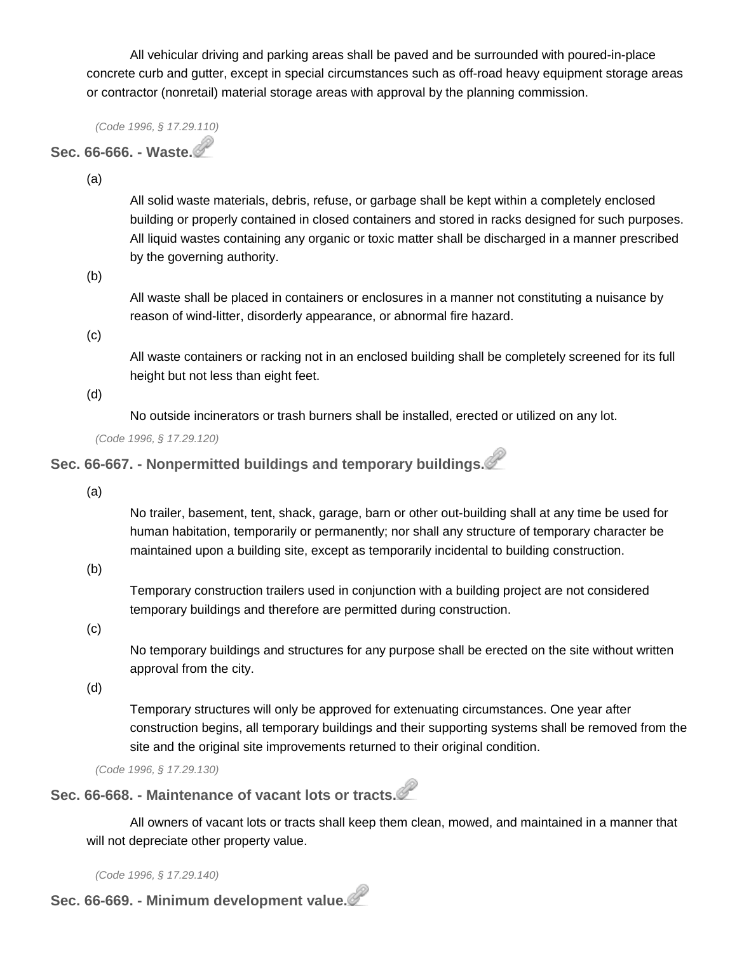All vehicular driving and parking areas shall be paved and be surrounded with poured-in-place concrete curb and gutter, except in special circumstances such as off-road heavy equipment storage areas or contractor (nonretail) material storage areas with approval by the planning commission.

*(Code 1996, § 17.29.110)*

### **Sec. 66-666. - Waste.**

(a)

All solid waste materials, debris, refuse, or garbage shall be kept within a completely enclosed building or properly contained in closed containers and stored in racks designed for such purposes. All liquid wastes containing any organic or toxic matter shall be discharged in a manner prescribed by the governing authority.

(b)

All waste shall be placed in containers or enclosures in a manner not constituting a nuisance by reason of wind-litter, disorderly appearance, or abnormal fire hazard.

(c)

All waste containers or racking not in an enclosed building shall be completely screened for its full height but not less than eight feet.

(d)

No outside incinerators or trash burners shall be installed, erected or utilized on any lot.

*(Code 1996, § 17.29.120)*

# **Sec. 66-667. - Nonpermitted buildings and temporary buildings.**

(a)

No trailer, basement, tent, shack, garage, barn or other out-building shall at any time be used for human habitation, temporarily or permanently; nor shall any structure of temporary character be maintained upon a building site, except as temporarily incidental to building construction.

(b)

Temporary construction trailers used in conjunction with a building project are not considered temporary buildings and therefore are permitted during construction.

(c)

No temporary buildings and structures for any purpose shall be erected on the site without written approval from the city.

(d)

Temporary structures will only be approved for extenuating circumstances. One year after construction begins, all temporary buildings and their supporting systems shall be removed from the site and the original site improvements returned to their original condition.

*(Code 1996, § 17.29.130)*

**Sec. 66-668. - Maintenance of vacant lots or tracts.**

All owners of vacant lots or tracts shall keep them clean, mowed, and maintained in a manner that will not depreciate other property value.

*(Code 1996, § 17.29.140)*

**Sec. 66-669. - Minimum development value.**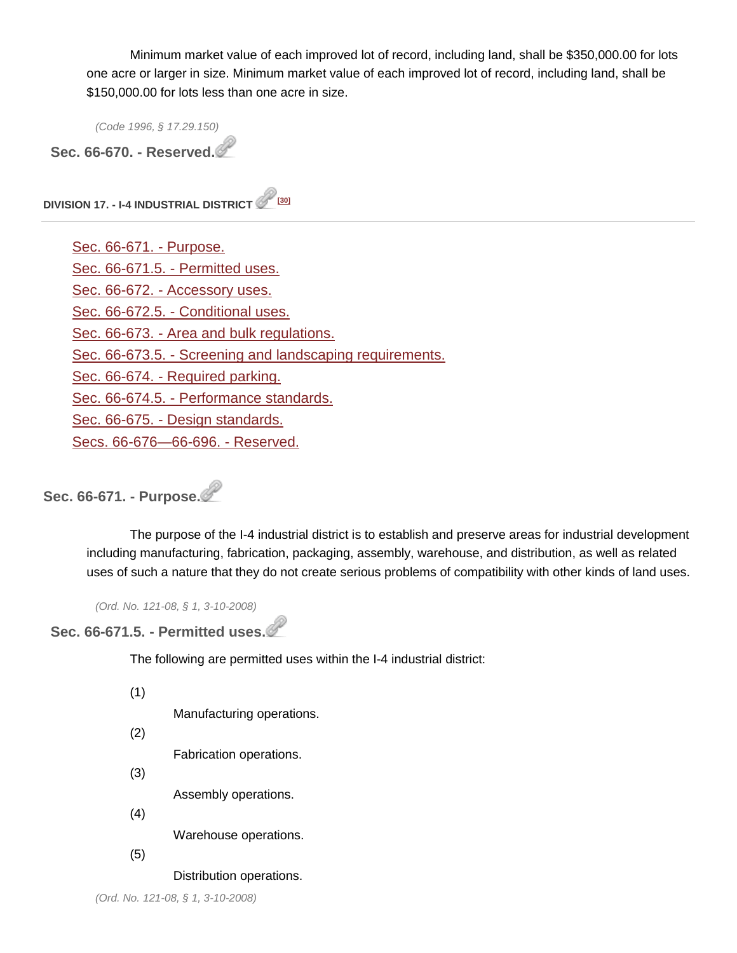Minimum market value of each improved lot of record, including land, shall be \$350,000.00 for lots one acre or larger in size. Minimum market value of each improved lot of record, including land, shall be \$150,000.00 for lots less than one acre in size.

*(Code 1996, § 17.29.150)*

**Sec. 66-670. - Reserved.**

**DIVISION 17. - I-4 INDUSTRIAL DISTRICT [\[30\]](http://library.municode.com/HTML/14040/level4/COOR_CH66ZO_ARTVDIDIRE_DIV17INDI.html#fn_30)**

[Sec. 66-671. -](http://library.municode.com/HTML/14040/level4/COOR_CH66ZO_ARTVDIDIRE_DIV17INDI.html#COOR_CH66ZO_ARTVDIDIRE_DIV17INDI_S66-671PU) Purpose. [Sec. 66-671.5. -](http://library.municode.com/HTML/14040/level4/COOR_CH66ZO_ARTVDIDIRE_DIV17INDI.html#COOR_CH66ZO_ARTVDIDIRE_DIV17INDI_S66-671.5PEUS) Permitted uses. Sec. 66-672. - [Accessory uses.](http://library.municode.com/HTML/14040/level4/COOR_CH66ZO_ARTVDIDIRE_DIV17INDI.html#COOR_CH66ZO_ARTVDIDIRE_DIV17INDI_S66-672ACUS) Sec. 66-672.5. - [Conditional uses.](http://library.municode.com/HTML/14040/level4/COOR_CH66ZO_ARTVDIDIRE_DIV17INDI.html#COOR_CH66ZO_ARTVDIDIRE_DIV17INDI_S66-672.5COUS) Sec. 66-673. - [Area and bulk regulations.](http://library.municode.com/HTML/14040/level4/COOR_CH66ZO_ARTVDIDIRE_DIV17INDI.html#COOR_CH66ZO_ARTVDIDIRE_DIV17INDI_S66-673ARBURE) Sec. 66-673.5. - [Screening and landscaping requirements.](http://library.municode.com/HTML/14040/level4/COOR_CH66ZO_ARTVDIDIRE_DIV17INDI.html#COOR_CH66ZO_ARTVDIDIRE_DIV17INDI_S66-673.5SCLARE) Sec. 66-674. - [Required parking.](http://library.municode.com/HTML/14040/level4/COOR_CH66ZO_ARTVDIDIRE_DIV17INDI.html#COOR_CH66ZO_ARTVDIDIRE_DIV17INDI_S66-674REPA) Sec. 66-674.5. - [Performance standards.](http://library.municode.com/HTML/14040/level4/COOR_CH66ZO_ARTVDIDIRE_DIV17INDI.html#COOR_CH66ZO_ARTVDIDIRE_DIV17INDI_S66-674.5PEST) Sec. 66-675. - [Design standards.](http://library.municode.com/HTML/14040/level4/COOR_CH66ZO_ARTVDIDIRE_DIV17INDI.html#COOR_CH66ZO_ARTVDIDIRE_DIV17INDI_S66-675DEST) [Secs. 66-676—66-696. -](http://library.municode.com/HTML/14040/level4/COOR_CH66ZO_ARTVDIDIRE_DIV17INDI.html#COOR_CH66ZO_ARTVDIDIRE_DIV17INDI_SS66-676--66-696RE) Reserved.

**Sec. 66-671. - Purpose.**

The purpose of the I-4 industrial district is to establish and preserve areas for industrial development including manufacturing, fabrication, packaging, assembly, warehouse, and distribution, as well as related uses of such a nature that they do not create serious problems of compatibility with other kinds of land uses.

*(Ord. No. 121-08, § 1, 3-10-2008)*

#### **Sec. 66-671.5. - Permitted uses.**

The following are permitted uses within the I-4 industrial district:

(1)

Manufacturing operations.

(2)

Fabrication operations.

(3)

Assembly operations.

(4)

Warehouse operations.

(5)

Distribution operations.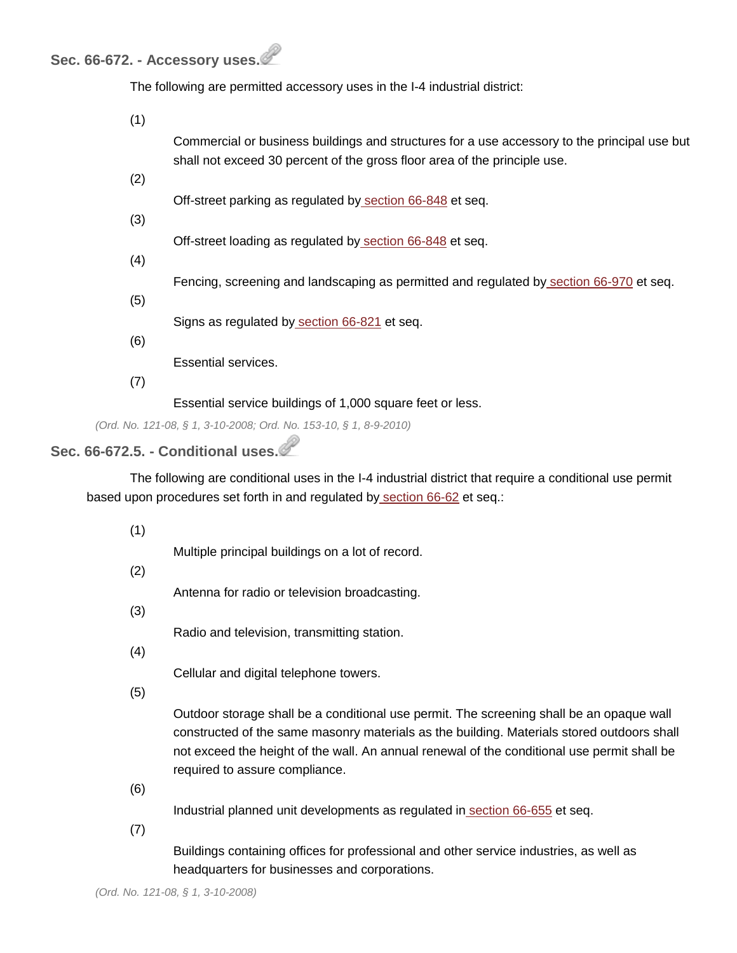### **Sec. 66-672. - Accessory uses.**

The following are permitted accessory uses in the I-4 industrial district:

| (1) |                                                                                                                                                                           |
|-----|---------------------------------------------------------------------------------------------------------------------------------------------------------------------------|
|     | Commercial or business buildings and structures for a use accessory to the principal use but<br>shall not exceed 30 percent of the gross floor area of the principle use. |
| (2) |                                                                                                                                                                           |
|     | Off-street parking as regulated by section 66-848 et seq.                                                                                                                 |
| (3) |                                                                                                                                                                           |
| (4) | Off-street loading as regulated by section 66-848 et seq.                                                                                                                 |
|     | Fencing, screening and landscaping as permitted and regulated by section 66-970 et seq.                                                                                   |
| (5) |                                                                                                                                                                           |
| (6) | Signs as regulated by section 66-821 et seq.                                                                                                                              |
|     | Essential services.                                                                                                                                                       |
| (7) |                                                                                                                                                                           |
|     | Essential service buildings of 1,000 square feet or less.                                                                                                                 |

*(Ord. No. 121-08, § 1, 3-10-2008; Ord. No. 153-10, § 1, 8-9-2010)*

# **Sec. 66-672.5. - Conditional uses.**

The following are conditional uses in the I-4 industrial district that require a conditional use permit based upon procedures set forth in and regulated by [section](http://library.municode.com/HTML/14040/level4/COOR_CH66ZO_ARTIIADEN_DIV2VAAPAMCOUSPE.html#COOR_CH66ZO_ARTIIADEN_DIV2VAAPAMCOUSPE_S66-62PLCOPODU) 66-62 et seq.:

(1)

Multiple principal buildings on a lot of record.

(2)

Antenna for radio or television broadcasting.

(3)

Radio and television, transmitting station.

(4)

Cellular and digital telephone towers.

(5)

Outdoor storage shall be a conditional use permit. The screening shall be an opaque wall constructed of the same masonry materials as the building. Materials stored outdoors shall not exceed the height of the wall. An annual renewal of the conditional use permit shall be required to assure compliance.

(6)

Industrial planned unit developments as regulated in [section](http://library.municode.com/HTML/14040/level4/COOR_CH66ZO_ARTVDIDIRE_DIV16PLINDI.html#COOR_CH66ZO_ARTVDIDIRE_DIV16PLINDI_S66-655PU) 66-655 et seq.

(7)

Buildings containing offices for professional and other service industries, as well as headquarters for businesses and corporations.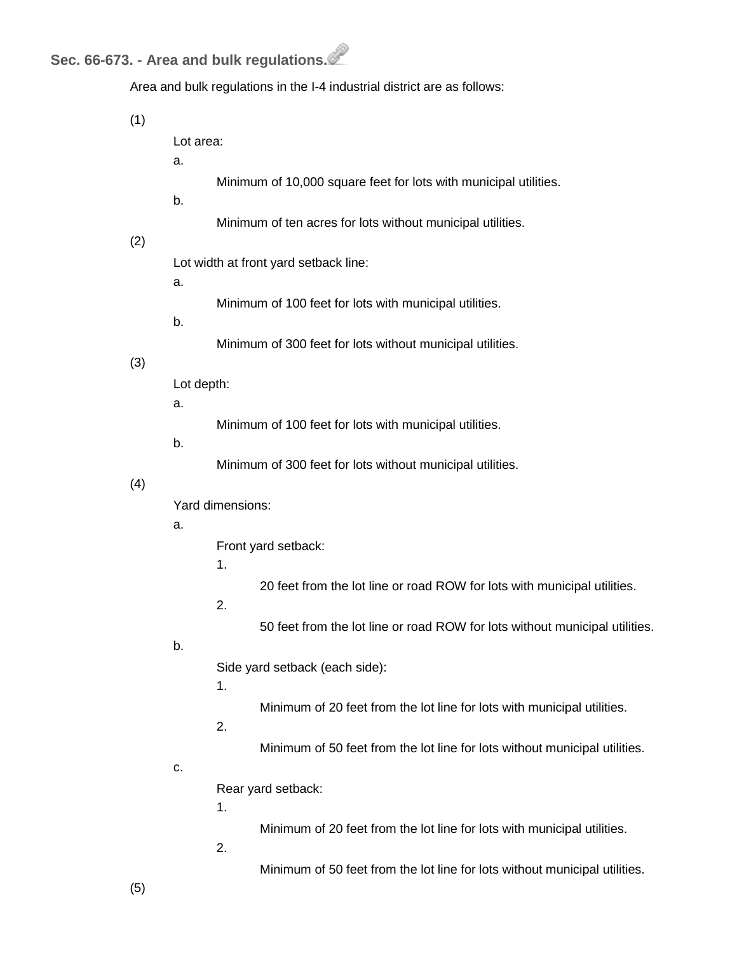# **Sec. 66-673. - Area and bulk regulations.**

| Area and bulk regulations in the I-4 industrial district are as follows: |  |
|--------------------------------------------------------------------------|--|
|                                                                          |  |

(1)

Lot area:

a.

- Minimum of 10,000 square feet for lots with municipal utilities.
- b.
- Minimum of ten acres for lots without municipal utilities.

#### (2)

Lot width at front yard setback line:

a.

- Minimum of 100 feet for lots with municipal utilities.
- b.

Minimum of 300 feet for lots without municipal utilities.

#### (3)

Lot depth:

a.

Minimum of 100 feet for lots with municipal utilities.

#### b.

Minimum of 300 feet for lots without municipal utilities.

#### (4)

Yard dimensions:

#### a.

Front yard setback:

1.

20 feet from the lot line or road ROW for lots with municipal utilities.

2.

50 feet from the lot line or road ROW for lots without municipal utilities.

#### b.

Side yard setback (each side):

1.

Minimum of 20 feet from the lot line for lots with municipal utilities.

2.

Minimum of 50 feet from the lot line for lots without municipal utilities.

#### c.

Rear yard setback:

1.

Minimum of 20 feet from the lot line for lots with municipal utilities.

2.

Minimum of 50 feet from the lot line for lots without municipal utilities.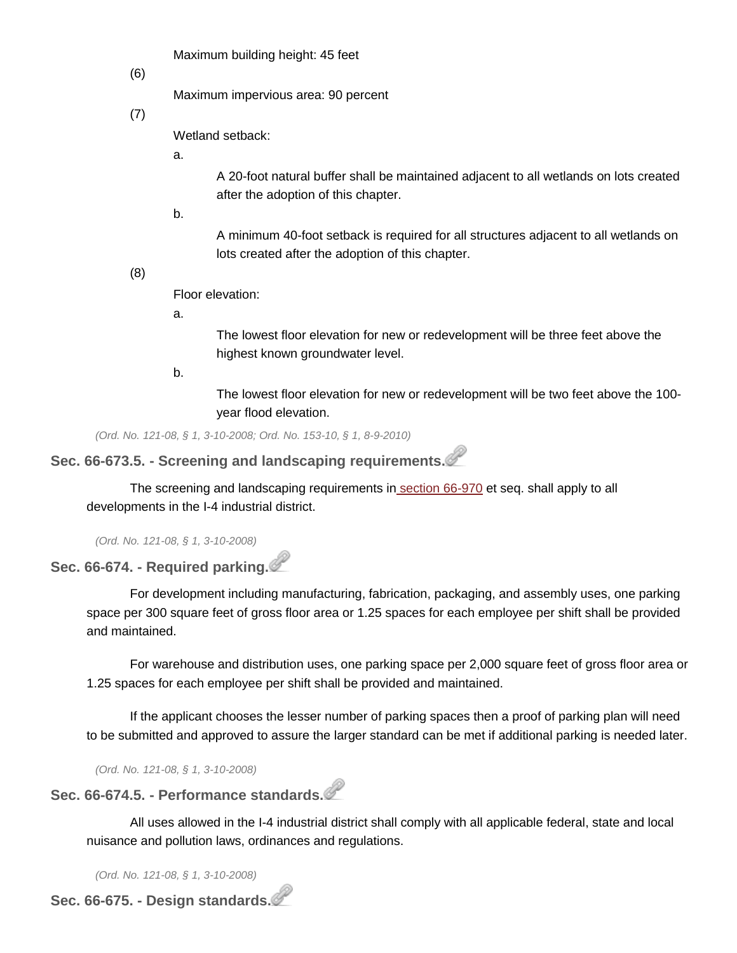Maximum building height: 45 feet

(6)

Maximum impervious area: 90 percent

(7)

Wetland setback:

a.

A 20-foot natural buffer shall be maintained adjacent to all wetlands on lots created after the adoption of this chapter.

b.

A minimum 40-foot setback is required for all structures adjacent to all wetlands on lots created after the adoption of this chapter.

(8)

Floor elevation:

a.

The lowest floor elevation for new or redevelopment will be three feet above the highest known groundwater level.

b.

The lowest floor elevation for new or redevelopment will be two feet above the 100 year flood elevation.

*(Ord. No. 121-08, § 1, 3-10-2008; Ord. No. 153-10, § 1, 8-9-2010)*

# **Sec. 66-673.5. - Screening and landscaping requirements.**

The screening and landscaping requirements in [section](http://library.municode.com/HTML/14040/level3/COOR_CH66ZO_ARTXFESCLA.html#COOR_CH66ZO_ARTXFESCLA_S66-970PU) 66-970 et seq. shall apply to all developments in the I-4 industrial district.

*(Ord. No. 121-08, § 1, 3-10-2008)*

# **Sec. 66-674. - Required parking.**

For development including manufacturing, fabrication, packaging, and assembly uses, one parking space per 300 square feet of gross floor area or 1.25 spaces for each employee per shift shall be provided and maintained.

For warehouse and distribution uses, one parking space per 2,000 square feet of gross floor area or 1.25 spaces for each employee per shift shall be provided and maintained.

If the applicant chooses the lesser number of parking spaces then a proof of parking plan will need to be submitted and approved to assure the larger standard can be met if additional parking is needed later.

*(Ord. No. 121-08, § 1, 3-10-2008)*

#### **Sec. 66-674.5. - Performance standards.**

All uses allowed in the I-4 industrial district shall comply with all applicable federal, state and local nuisance and pollution laws, ordinances and regulations.

*(Ord. No. 121-08, § 1, 3-10-2008)*

**Sec. 66-675. - Design standards.**